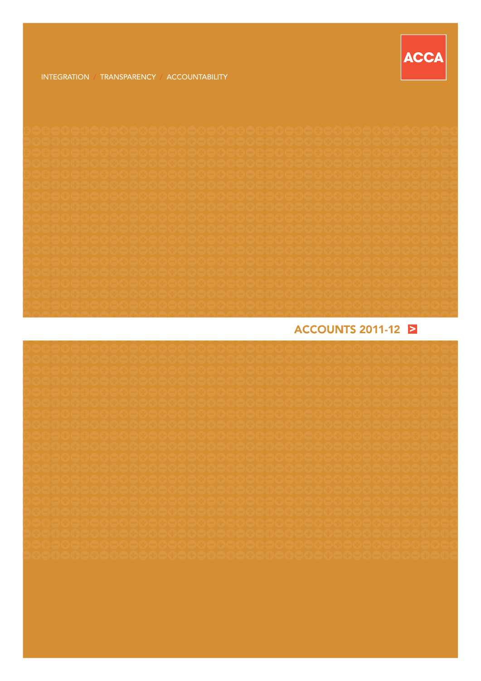

## **ACCOUNTS 2011-12 E**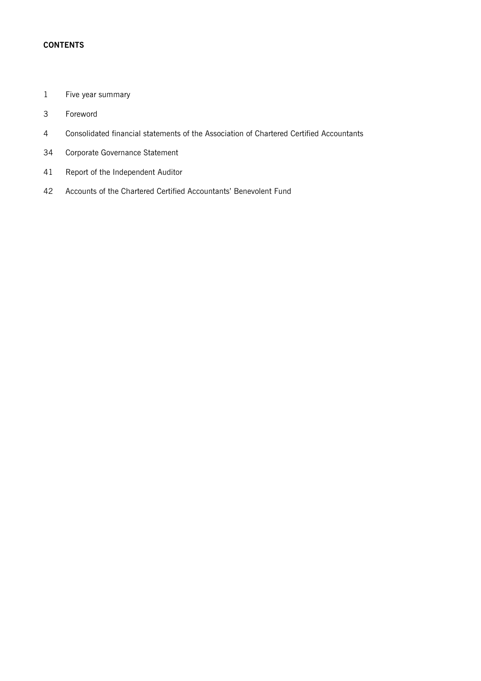### **CONTENTS**

- Five year summary
- Foreword
- Consolidated financial statements of the Association of Chartered Certified Accountants
- Corporate Governance Statement
- Report of the Independent Auditor
- Accounts of the Chartered Certified Accountants' Benevolent Fund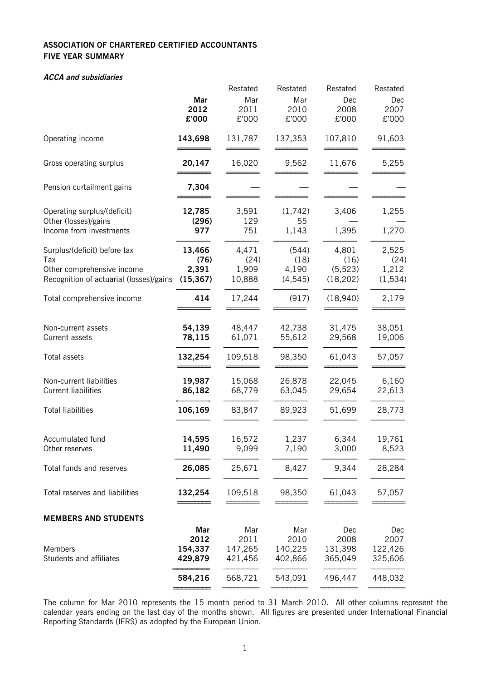### **ASSOCIATION OF CHARTERED CERTIFIED ACCOUNTANTS FIVE YEAR SUMMARY**

### **ACCA and subsidiaries**

|                                         |           | Restated | Restated | Restated  | Restated |
|-----------------------------------------|-----------|----------|----------|-----------|----------|
|                                         | Mar       | Mar      | Mar      | Dec       | Dec      |
|                                         | 2012      | 2011     | 2010     | 2008      | 2007     |
|                                         | £'000     | £'000    | £'000    | £'000     | £'000    |
|                                         |           |          |          |           |          |
| Operating income                        | 143,698   | 131,787  | 137,353  | 107,810   | 91,603   |
|                                         |           |          |          |           |          |
| Gross operating surplus                 | 20,147    | 16,020   | 9,562    | 11,676    | 5,255    |
|                                         |           |          |          |           |          |
| Pension curtailment gains               | 7,304     |          |          |           |          |
| Operating surplus/(deficit)             | 12,785    | 3,591    | (1,742)  | 3,406     | 1,255    |
| Other (losses)/gains                    | (296)     | 129      | 55       |           |          |
| Income from investments                 | 977       | 751      | 1,143    | 1,395     | 1,270    |
|                                         |           |          |          |           |          |
| Surplus/(deficit) before tax            | 13,466    | 4,471    | (544)    | 4,801     | 2,525    |
| Tax                                     | (76)      | (24)     | (18)     | (16)      | (24)     |
| Other comprehensive income              | 2,391     | 1,909    | 4,190    | (5, 523)  | 1,212    |
| Recognition of actuarial (losses)/gains | (15, 367) | 10,888   | (4, 545) | (18, 202) | (1, 534) |
| Total comprehensive income              | 414       | 17,244   | (917)    | (18,940)  | 2,179    |
|                                         |           |          |          |           |          |
| Non-current assets                      | 54,139    | 48,447   | 42,738   | 31,475    | 38,051   |
| Current assets                          | 78,115    | 61,071   | 55,612   | 29,568    | 19,006   |
|                                         |           |          |          |           |          |
| Total assets                            | 132,254   | 109,518  | 98,350   | 61,043    | 57,057   |
| Non-current liabilities                 | 19,987    | 15,068   | 26,878   | 22,045    | 6,160    |
|                                         |           |          |          |           |          |
| <b>Current liabilities</b>              | 86,182    | 68,779   | 63,045   | 29,654    | 22,613   |
| <b>Total liabilities</b>                | 106,169   | 83,847   | 89,923   | 51,699    | 28,773   |
|                                         |           |          |          |           |          |
| Accumulated fund                        | 14,595    | 16,572   | 1,237    | 6,344     | 19,761   |
| Other reserves                          | 11,490    | 9,099    | 7,190    | 3,000     | 8,523    |
| Total funds and reserves                | 26,085    | 25,671   | 8,427    | 9,344     | 28,284   |
| Total reserves and liabilities          | 132,254   | 109,518  | 98,350   | 61,043    |          |
|                                         |           |          |          |           | 57,057   |
| <b>MEMBERS AND STUDENTS</b>             |           |          |          |           |          |
|                                         | Mar       | Mar      | Mar      | Dec       | Dec      |
|                                         | 2012      | 2011     | 2010     | 2008      | 2007     |
| Members                                 | 154,337   | 147,265  | 140,225  | 131,398   | 122,426  |
| Students and affiliates                 | 429,879   | 421,456  | 402,866  | 365,049   | 325,606  |
|                                         | 584,216   | 568,721  | 543,091  | 496,447   | 448,032  |
|                                         |           |          |          |           |          |

The column for Mar 2010 represents the 15 month period to 31 March 2010. All other columns represent the calendar years ending on the last day of the months shown. All figures are presented under International Financial Reporting Standards (IFRS) as adopted by the European Union.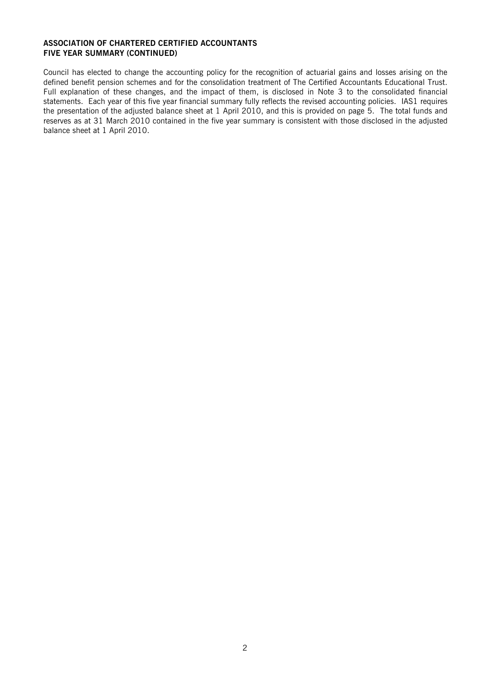#### **ASSOCIATION OF CHARTERED CERTIFIED ACCOUNTANTS FIVE YEAR SUMMARY (CONTINUED)**

Council has elected to change the accounting policy for the recognition of actuarial gains and losses arising on the defined benefit pension schemes and for the consolidation treatment of The Certified Accountants Educational Trust. Full explanation of these changes, and the impact of them, is disclosed in Note 3 to the consolidated financial statements. Each year of this five year financial summary fully reflects the revised accounting policies. IAS1 requires the presentation of the adjusted balance sheet at 1 April 2010, and this is provided on page 5. The total funds and reserves as at 31 March 2010 contained in the five year summary is consistent with those disclosed in the adjusted balance sheet at 1 April 2010.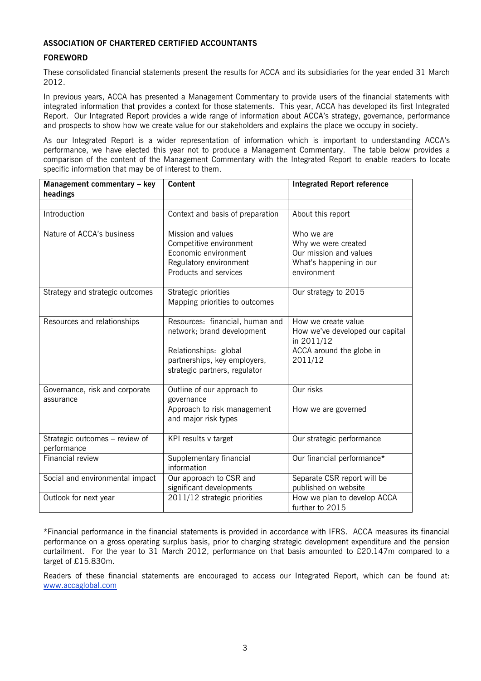#### **ASSOCIATION OF CHARTERED CERTIFIED ACCOUNTANTS**

### **FOREWORD**

These consolidated financial statements present the results for ACCA and its subsidiaries for the year ended 31 March 2012.

In previous years, ACCA has presented a Management Commentary to provide users of the financial statements with integrated information that provides a context for those statements. This year, ACCA has developed its first Integrated Report. Our Integrated Report provides a wide range of information about ACCA's strategy, governance, performance and prospects to show how we create value for our stakeholders and explains the place we occupy in society.

As our Integrated Report is a wider representation of information which is important to understanding ACCA's performance, we have elected this year not to produce a Management Commentary. The table below provides a comparison of the content of the Management Commentary with the Integrated Report to enable readers to locate specific information that may be of interest to them.

| Management commentary - key<br>headings       | <b>Content</b>                                                                                                                                          | <b>Integrated Report reference</b>                                                                          |
|-----------------------------------------------|---------------------------------------------------------------------------------------------------------------------------------------------------------|-------------------------------------------------------------------------------------------------------------|
|                                               |                                                                                                                                                         |                                                                                                             |
| Introduction                                  | Context and basis of preparation                                                                                                                        | About this report                                                                                           |
| Nature of ACCA's business                     | Mission and values<br>Competitive environment<br>Economic environment<br>Regulatory environment<br>Products and services                                | Who we are<br>Why we were created<br>Our mission and values<br>What's happening in our<br>environment       |
| Strategy and strategic outcomes               | Strategic priorities<br>Mapping priorities to outcomes                                                                                                  | Our strategy to 2015                                                                                        |
| Resources and relationships                   | Resources: financial, human and<br>network; brand development<br>Relationships: global<br>partnerships, key employers,<br>strategic partners, regulator | How we create value<br>How we've developed our capital<br>in 2011/12<br>ACCA around the globe in<br>2011/12 |
| Governance, risk and corporate<br>assurance   | Outline of our approach to<br>governance<br>Approach to risk management<br>and major risk types                                                         | Our risks<br>How we are governed                                                                            |
| Strategic outcomes - review of<br>performance | KPI results v target                                                                                                                                    | Our strategic performance                                                                                   |
| <b>Financial review</b>                       | Supplementary financial<br>information                                                                                                                  | Our financial performance*                                                                                  |
| Social and environmental impact               | Our approach to CSR and<br>significant developments                                                                                                     | Separate CSR report will be<br>published on website                                                         |
| Outlook for next year                         | 2011/12 strategic priorities                                                                                                                            | How we plan to develop ACCA<br>further to 2015                                                              |

\*Financial performance in the financial statements is provided in accordance with IFRS. ACCA measures its financial performance on a gross operating surplus basis, prior to charging strategic development expenditure and the pension curtailment. For the year to 31 March 2012, performance on that basis amounted to £20.147m compared to a target of £15.830m.

Readers of these financial statements are encouraged to access our Integrated Report, which can be found at: www.accaglobal.com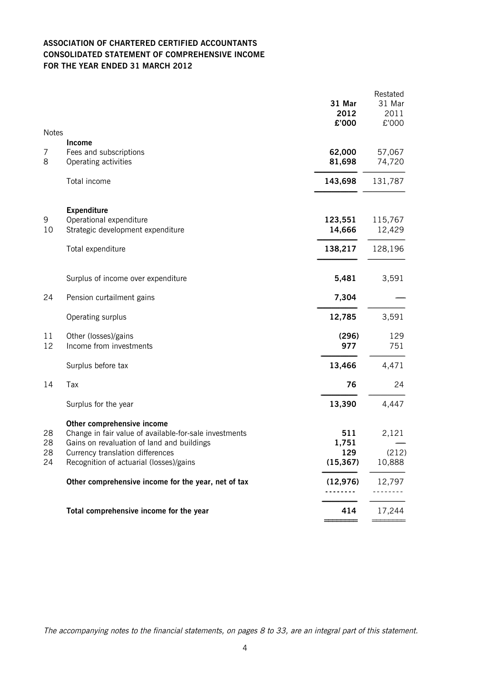### **ASSOCIATION OF CHARTERED CERTIFIED ACCOUNTANTS CONSOLIDATED STATEMENT OF COMPREHENSIVE INCOME FOR THE YEAR ENDED 31 MARCH 2012**

|              |                                                                                                                                    | 31 Mar<br>2012<br>£'000 | Restated<br>31 Mar<br>2011<br>£'000 |
|--------------|------------------------------------------------------------------------------------------------------------------------------------|-------------------------|-------------------------------------|
| <b>Notes</b> | <b>Income</b>                                                                                                                      |                         |                                     |
| 7<br>8       | Fees and subscriptions<br>Operating activities                                                                                     | 62,000<br>81,698        | 57,067<br>74,720                    |
|              | Total income                                                                                                                       | 143,698                 | 131,787                             |
| 9<br>10      | <b>Expenditure</b><br>Operational expenditure<br>Strategic development expenditure                                                 | 123,551<br>14,666       | 115,767<br>12,429                   |
|              | Total expenditure                                                                                                                  | 138,217                 | 128,196                             |
|              | Surplus of income over expenditure                                                                                                 | 5,481                   | 3,591                               |
| 24           | Pension curtailment gains                                                                                                          | 7,304                   |                                     |
|              | Operating surplus                                                                                                                  | 12,785                  | 3,591                               |
| 11<br>12     | Other (losses)/gains<br>Income from investments                                                                                    | (296)<br>977            | 129<br>751                          |
|              | Surplus before tax                                                                                                                 | 13,466                  | 4,471                               |
| 14           | Tax                                                                                                                                | 76                      | 24                                  |
|              | Surplus for the year                                                                                                               | 13,390                  | 4,447                               |
| 28<br>28     | Other comprehensive income<br>Change in fair value of available-for-sale investments<br>Gains on revaluation of land and buildings | 511<br>1,751            | 2,121                               |
| 28<br>24     | Currency translation differences<br>Recognition of actuarial (losses)/gains                                                        | 129<br>(15, 367)        | (212)<br>10,888                     |
|              | Other comprehensive income for the year, net of tax                                                                                | (12, 976)               | 12,797                              |
|              | Total comprehensive income for the year                                                                                            | 414                     | 17,244                              |
|              |                                                                                                                                    |                         |                                     |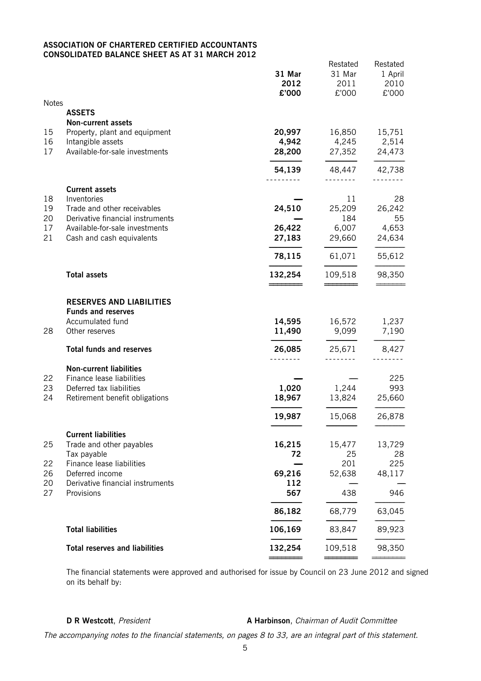#### **ASSOCIATION OF CHARTERED CERTIFIED ACCOUNTANTS CONSOLIDATED BALANCE SHEET AS AT 31 MARCH 2012**

| <b>Notes</b>               |                                                                                                                                                                        | 31 Mar<br>2012<br>£'000        | Restated<br>31 Mar<br>2011<br>£'000    | Restated<br>1 April<br>2010<br>£'000  |
|----------------------------|------------------------------------------------------------------------------------------------------------------------------------------------------------------------|--------------------------------|----------------------------------------|---------------------------------------|
|                            | <b>ASSETS</b>                                                                                                                                                          |                                |                                        |                                       |
| 15<br>16<br>17             | <b>Non-current assets</b><br>Property, plant and equipment<br>Intangible assets<br>Available-for-sale investments                                                      | 20,997<br>4,942<br>28,200      | 16,850<br>4,245<br>27,352              | 15,751<br>2,514<br>24,473             |
|                            |                                                                                                                                                                        |                                |                                        |                                       |
|                            |                                                                                                                                                                        | 54,139                         | 48,447                                 | 42,738                                |
| 18<br>19<br>20<br>17<br>21 | <b>Current assets</b><br>Inventories<br>Trade and other receivables<br>Derivative financial instruments<br>Available-for-sale investments<br>Cash and cash equivalents | 24,510<br>26,422<br>27,183     | 11<br>25,209<br>184<br>6,007<br>29,660 | 28<br>26,242<br>55<br>4,653<br>24,634 |
|                            |                                                                                                                                                                        | 78,115                         | 61,071                                 | 55,612                                |
|                            | <b>Total assets</b>                                                                                                                                                    | 132,254                        | 109,518                                | 98,350                                |
| 28                         | <b>RESERVES AND LIABILITIES</b><br><b>Funds and reserves</b><br>Accumulated fund<br>Other reserves<br><b>Total funds and reserves</b>                                  | 14,595<br>11,490<br>26,085     | 16,572<br>9,099<br>25,671              | 1,237<br>7,190<br>8,427               |
| 22<br>23<br>24             | <b>Non-current liabilities</b><br>Finance lease liabilities<br>Deferred tax liabilities<br>Retirement benefit obligations                                              | .<br>1,020<br>18,967<br>19,987 | <u>.</u><br>1,244<br>13,824<br>15,068  | 225<br>993<br>25,660<br>26,878        |
| 25<br>22<br>26<br>20       | <b>Current liabilities</b><br>Trade and other payables<br>Tax payable<br>Finance lease liabilities<br>Deferred income<br>Derivative financial instruments              | 16,215<br>72<br>69,216<br>112  | 15,477<br>25<br>201<br>52,638          | 13,729<br>28<br>225<br>48,117         |
| 27                         | Provisions                                                                                                                                                             | 567                            | 438                                    | 946                                   |
|                            |                                                                                                                                                                        | 86,182                         | 68,779                                 | 63,045                                |
|                            | <b>Total liabilities</b>                                                                                                                                               | 106,169                        | 83,847                                 | 89,923                                |
|                            | <b>Total reserves and liabilities</b>                                                                                                                                  | 132,254                        | 109,518                                | 98,350                                |
|                            |                                                                                                                                                                        |                                |                                        |                                       |

The financial statements were approved and authorised for issue by Council on 23 June 2012 and signed on its behalf by:

**D R** Westcott, President **A Harbinson**, Chairman of Audit Committee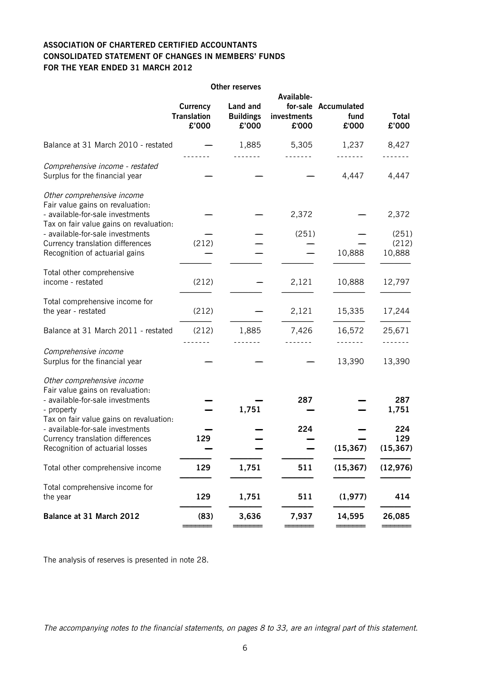### **ASSOCIATION OF CHARTERED CERTIFIED ACCOUNTANTS CONSOLIDATED STATEMENT OF CHANGES IN MEMBERS' FUNDS FOR THE YEAR ENDED 31 MARCH 2012**

|                                                                                                                                                             |                                                | <b>Other reserves</b>                 |                                    |                                       |                          |
|-------------------------------------------------------------------------------------------------------------------------------------------------------------|------------------------------------------------|---------------------------------------|------------------------------------|---------------------------------------|--------------------------|
|                                                                                                                                                             | <b>Currency</b><br><b>Translation</b><br>£'000 | Land and<br><b>Buildings</b><br>£'000 | Available-<br>investments<br>£'000 | for-sale Accumulated<br>fund<br>£'000 | <b>Total</b><br>£'000    |
| Balance at 31 March 2010 - restated                                                                                                                         |                                                | 1,885                                 | 5,305                              | 1,237                                 | 8,427                    |
| Comprehensive income - restated<br>Surplus for the financial year                                                                                           |                                                |                                       |                                    | 4,447                                 | 4,447                    |
| Other comprehensive income<br>Fair value gains on revaluation:<br>- available-for-sale investments<br>Tax on fair value gains on revaluation:               |                                                |                                       | 2,372                              |                                       | 2,372                    |
| - available-for-sale investments<br>Currency translation differences<br>Recognition of actuarial gains                                                      | (212)                                          |                                       | (251)                              | 10,888                                | (251)<br>(212)<br>10,888 |
| Total other comprehensive<br>income - restated                                                                                                              | (212)                                          |                                       | 2,121                              | 10,888                                | 12,797                   |
| Total comprehensive income for<br>the year - restated                                                                                                       | (212)                                          |                                       | 2,121                              | 15,335                                | 17,244                   |
| Balance at 31 March 2011 - restated                                                                                                                         | (212)                                          | 1,885                                 | 7,426                              | 16,572                                | 25,671                   |
| Comprehensive income<br>Surplus for the financial year                                                                                                      |                                                |                                       |                                    | 13,390                                | 13,390                   |
| Other comprehensive income<br>Fair value gains on revaluation:<br>- available-for-sale investments<br>- property<br>Tax on fair value gains on revaluation: |                                                | 1,751                                 | 287                                |                                       | 287<br>1,751             |
| - available-for-sale investments<br>Currency translation differences<br>Recognition of actuarial losses                                                     | 129                                            |                                       | 224                                | (15, 367)                             | 224<br>129<br>(15, 367)  |
| Total other comprehensive income                                                                                                                            | 129                                            | 1,751                                 | 511                                | (15, 367)                             | (12, 976)                |
| Total comprehensive income for<br>the year                                                                                                                  | 129                                            | 1,751                                 | 511                                | (1, 977)                              | 414                      |
| Balance at 31 March 2012                                                                                                                                    | (83)                                           | 3,636                                 | 7,937                              | 14,595                                | 26,085                   |
|                                                                                                                                                             |                                                |                                       |                                    |                                       |                          |

The analysis of reserves is presented in note 28.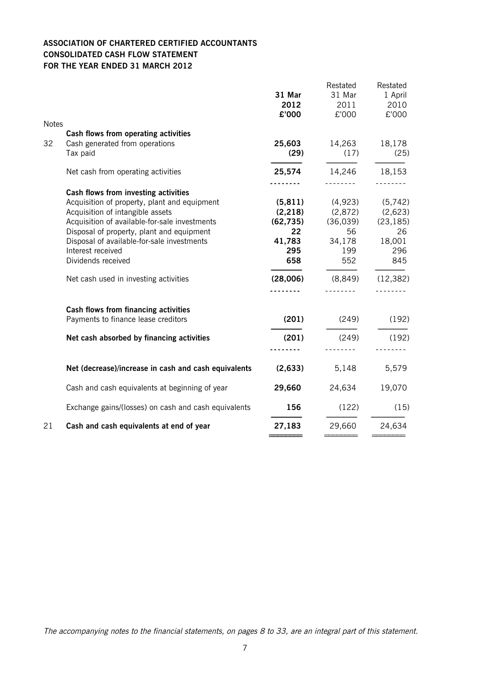### **ASSOCIATION OF CHARTERED CERTIFIED ACCOUNTANTS CONSOLIDATED CASH FLOW STATEMENT FOR THE YEAR ENDED 31 MARCH 2012**

| <b>Notes</b> |                                                                                                                                    | 31 Mar<br>2012<br>£'000           | Restated<br>31 Mar<br>2011<br>£'000 | Restated<br>1 April<br>2010<br>£'000 |
|--------------|------------------------------------------------------------------------------------------------------------------------------------|-----------------------------------|-------------------------------------|--------------------------------------|
|              | Cash flows from operating activities                                                                                               |                                   |                                     |                                      |
| 32           | Cash generated from operations<br>Tax paid                                                                                         | 25,603<br>(29)                    | 14,263<br>(17)                      | 18,178<br>(25)                       |
|              | Net cash from operating activities                                                                                                 | 25,574                            | 14,246                              | 18,153                               |
|              | Cash flows from investing activities                                                                                               | .                                 | <u>.</u> .                          | <u>.</u>                             |
|              | Acquisition of property, plant and equipment<br>Acquisition of intangible assets<br>Acquisition of available-for-sale investments  | (5, 811)<br>(2, 218)<br>(62, 735) | (4,923)<br>(2,872)<br>(36,039)      | (5,742)<br>(2,623)<br>(23, 185)      |
|              | Disposal of property, plant and equipment<br>Disposal of available-for-sale investments<br>Interest received<br>Dividends received | 22<br>41,783<br>295<br>658        | 56<br>34,178<br>199<br>552          | 26<br>18,001<br>296<br>845           |
|              | Net cash used in investing activities                                                                                              | (28,006)                          | (8, 849)                            | (12, 382)                            |
|              | Cash flows from financing activities                                                                                               |                                   | <u>.</u>                            |                                      |
|              | Payments to finance lease creditors                                                                                                | (201)                             | (249)                               | (192)                                |
|              | Net cash absorbed by financing activities                                                                                          | (201)                             | (249)                               | (192)<br><u>.</u>                    |
|              | Net (decrease)/increase in cash and cash equivalents                                                                               | (2,633)                           | 5,148                               | 5,579                                |
|              | Cash and cash equivalents at beginning of year                                                                                     | 29,660                            | 24,634                              | 19,070                               |
|              | Exchange gains/(losses) on cash and cash equivalents                                                                               | 156                               | (122)                               | (15)                                 |
| 21           | Cash and cash equivalents at end of year                                                                                           | 27,183                            | 29,660                              | 24,634                               |
|              |                                                                                                                                    |                                   |                                     |                                      |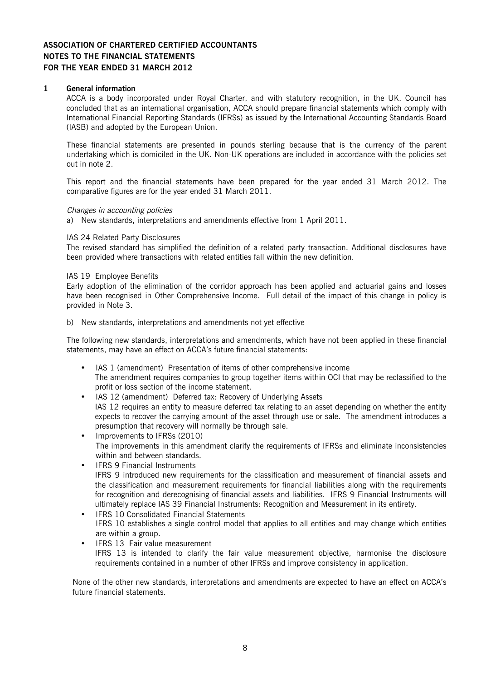#### **1 General information**

ACCA is a body incorporated under Royal Charter, and with statutory recognition, in the UK. Council has concluded that as an international organisation, ACCA should prepare financial statements which comply with International Financial Reporting Standards (IFRSs) as issued by the International Accounting Standards Board (IASB) and adopted by the European Union.

These financial statements are presented in pounds sterling because that is the currency of the parent undertaking which is domiciled in the UK. Non-UK operations are included in accordance with the policies set out in note 2.

This report and the financial statements have been prepared for the year ended 31 March 2012. The comparative figures are for the year ended 31 March 2011.

#### Changes in accounting policies

a) New standards, interpretations and amendments effective from 1 April 2011.

#### IAS 24 Related Party Disclosures

The revised standard has simplified the definition of a related party transaction. Additional disclosures have been provided where transactions with related entities fall within the new definition.

#### IAS 19 Employee Benefits

Early adoption of the elimination of the corridor approach has been applied and actuarial gains and losses have been recognised in Other Comprehensive Income. Full detail of the impact of this change in policy is provided in Note 3.

b) New standards, interpretations and amendments not yet effective

The following new standards, interpretations and amendments, which have not been applied in these financial statements, may have an effect on ACCA's future financial statements:

- IAS 1 (amendment) Presentation of items of other comprehensive income The amendment requires companies to group together items within OCI that may be reclassified to the profit or loss section of the income statement.
- IAS 12 (amendment) Deferred tax: Recovery of Underlying Assets IAS 12 requires an entity to measure deferred tax relating to an asset depending on whether the entity expects to recover the carrying amount of the asset through use or sale. The amendment introduces a presumption that recovery will normally be through sale.
- Improvements to IFRSs (2010) The improvements in this amendment clarify the requirements of IFRSs and eliminate inconsistencies within and between standards.
- IFRS 9 Financial Instruments IFRS 9 introduced new requirements for the classification and measurement of financial assets and the classification and measurement requirements for financial liabilities along with the requirements for recognition and derecognising of financial assets and liabilities. IFRS 9 Financial Instruments will ultimately replace IAS 39 Financial Instruments: Recognition and Measurement in its entirety.
- IFRS 10 Consolidated Financial Statements IFRS 10 establishes a single control model that applies to all entities and may change which entities are within a group.
- IFRS 13 Fair value measurement IFRS 13 is intended to clarify the fair value measurement objective, harmonise the disclosure requirements contained in a number of other IFRSs and improve consistency in application.

None of the other new standards, interpretations and amendments are expected to have an effect on ACCA's future financial statements.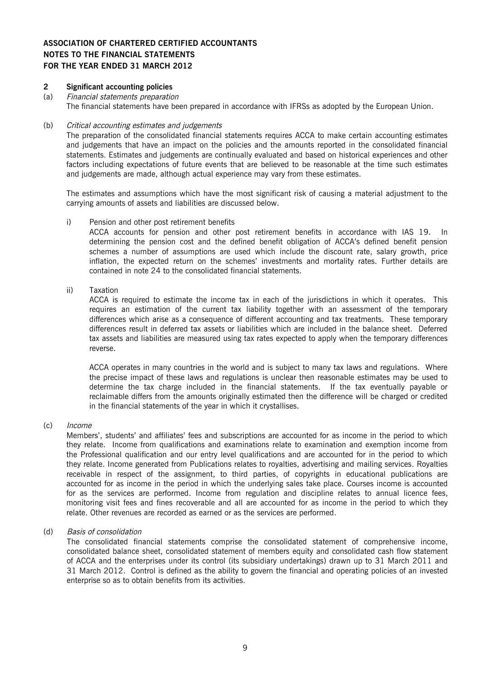#### **2 Significant accounting policies**

# (a) Financial statements preparation

The financial statements have been prepared in accordance with IFRSs as adopted by the European Union.

#### (b) Critical accounting estimates and judgements

The preparation of the consolidated financial statements requires ACCA to make certain accounting estimates and judgements that have an impact on the policies and the amounts reported in the consolidated financial statements. Estimates and judgements are continually evaluated and based on historical experiences and other factors including expectations of future events that are believed to be reasonable at the time such estimates and judgements are made, although actual experience may vary from these estimates.

The estimates and assumptions which have the most significant risk of causing a material adjustment to the carrying amounts of assets and liabilities are discussed below.

#### i) Pension and other post retirement benefits

ACCA accounts for pension and other post retirement benefits in accordance with IAS 19. In determining the pension cost and the defined benefit obligation of ACCA's defined benefit pension schemes a number of assumptions are used which include the discount rate, salary growth, price inflation, the expected return on the schemes' investments and mortality rates. Further details are contained in note 24 to the consolidated financial statements.

#### ii) Taxation

ACCA is required to estimate the income tax in each of the jurisdictions in which it operates. This requires an estimation of the current tax liability together with an assessment of the temporary differences which arise as a consequence of different accounting and tax treatments. These temporary differences result in deferred tax assets or liabilities which are included in the balance sheet. Deferred tax assets and liabilities are measured using tax rates expected to apply when the temporary differences reverse.

ACCA operates in many countries in the world and is subject to many tax laws and regulations. Where the precise impact of these laws and regulations is unclear then reasonable estimates may be used to determine the tax charge included in the financial statements. If the tax eventually payable or reclaimable differs from the amounts originally estimated then the difference will be charged or credited in the financial statements of the year in which it crystallises.

#### (c) Income

Members', students' and affiliates' fees and subscriptions are accounted for as income in the period to which they relate. Income from qualifications and examinations relate to examination and exemption income from the Professional qualification and our entry level qualifications and are accounted for in the period to which they relate. Income generated from Publications relates to royalties, advertising and mailing services. Royalties receivable in respect of the assignment, to third parties, of copyrights in educational publications are accounted for as income in the period in which the underlying sales take place. Courses income is accounted for as the services are performed. Income from regulation and discipline relates to annual licence fees, monitoring visit fees and fines recoverable and all are accounted for as income in the period to which they relate. Other revenues are recorded as earned or as the services are performed.

#### (d) Basis of consolidation

The consolidated financial statements comprise the consolidated statement of comprehensive income, consolidated balance sheet, consolidated statement of members equity and consolidated cash flow statement of ACCA and the enterprises under its control (its subsidiary undertakings) drawn up to 31 March 2011 and 31 March 2012. Control is defined as the ability to govern the financial and operating policies of an invested enterprise so as to obtain benefits from its activities.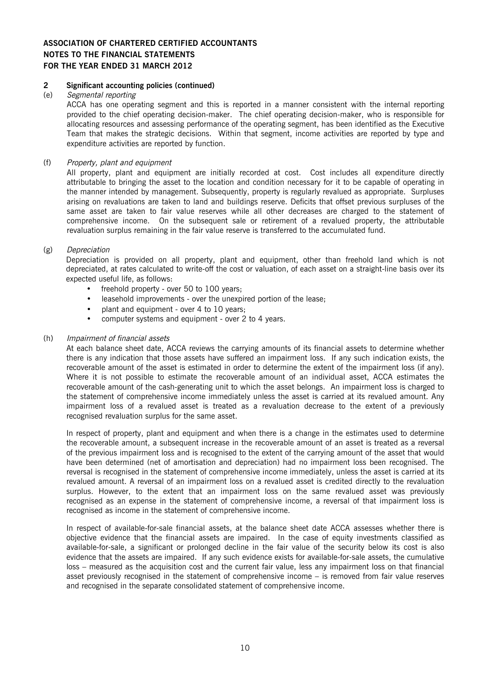#### **2 Significant accounting policies (continued)**

#### (e) Segmental reporting

ACCA has one operating segment and this is reported in a manner consistent with the internal reporting provided to the chief operating decision-maker. The chief operating decision-maker, who is responsible for allocating resources and assessing performance of the operating segment, has been identified as the Executive Team that makes the strategic decisions. Within that segment, income activities are reported by type and expenditure activities are reported by function.

(f) Property, plant and equipment

All property, plant and equipment are initially recorded at cost. Cost includes all expenditure directly attributable to bringing the asset to the location and condition necessary for it to be capable of operating in the manner intended by management. Subsequently, property is regularly revalued as appropriate. Surpluses arising on revaluations are taken to land and buildings reserve. Deficits that offset previous surpluses of the same asset are taken to fair value reserves while all other decreases are charged to the statement of comprehensive income. On the subsequent sale or retirement of a revalued property, the attributable revaluation surplus remaining in the fair value reserve is transferred to the accumulated fund.

#### (g) Depreciation

Depreciation is provided on all property, plant and equipment, other than freehold land which is not depreciated, at rates calculated to write-off the cost or valuation, of each asset on a straight-line basis over its expected useful life, as follows:

- freehold property over 50 to 100 years;
- leasehold improvements over the unexpired portion of the lease;
- plant and equipment over 4 to 10 years;
- computer systems and equipment over 2 to 4 years.

#### (h) Impairment of financial assets

At each balance sheet date, ACCA reviews the carrying amounts of its financial assets to determine whether there is any indication that those assets have suffered an impairment loss. If any such indication exists, the recoverable amount of the asset is estimated in order to determine the extent of the impairment loss (if any). Where it is not possible to estimate the recoverable amount of an individual asset, ACCA estimates the recoverable amount of the cash-generating unit to which the asset belongs. An impairment loss is charged to the statement of comprehensive income immediately unless the asset is carried at its revalued amount. Any impairment loss of a revalued asset is treated as a revaluation decrease to the extent of a previously recognised revaluation surplus for the same asset.

In respect of property, plant and equipment and when there is a change in the estimates used to determine the recoverable amount, a subsequent increase in the recoverable amount of an asset is treated as a reversal of the previous impairment loss and is recognised to the extent of the carrying amount of the asset that would have been determined (net of amortisation and depreciation) had no impairment loss been recognised. The reversal is recognised in the statement of comprehensive income immediately, unless the asset is carried at its revalued amount. A reversal of an impairment loss on a revalued asset is credited directly to the revaluation surplus. However, to the extent that an impairment loss on the same revalued asset was previously recognised as an expense in the statement of comprehensive income, a reversal of that impairment loss is recognised as income in the statement of comprehensive income.

In respect of available-for-sale financial assets, at the balance sheet date ACCA assesses whether there is objective evidence that the financial assets are impaired. In the case of equity investments classified as available-for-sale, a significant or prolonged decline in the fair value of the security below its cost is also evidence that the assets are impaired. If any such evidence exists for available-for-sale assets, the cumulative loss – measured as the acquisition cost and the current fair value, less any impairment loss on that financial asset previously recognised in the statement of comprehensive income – is removed from fair value reserves and recognised in the separate consolidated statement of comprehensive income.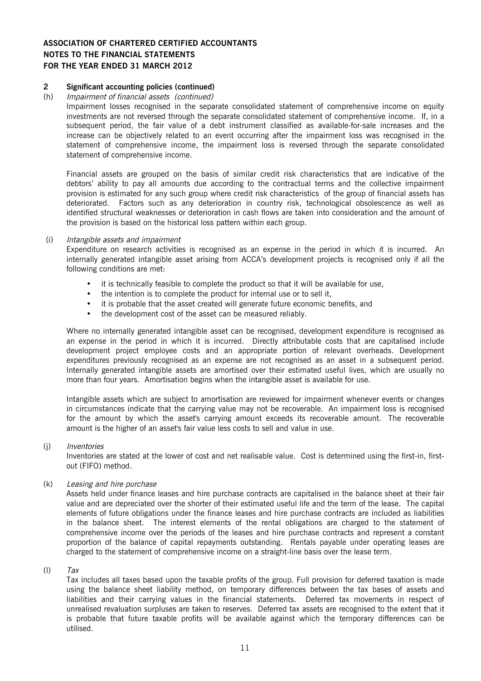# **2 Significant accounting policies (continued)**

#### Impairment of financial assets (continued)

Impairment losses recognised in the separate consolidated statement of comprehensive income on equity investments are not reversed through the separate consolidated statement of comprehensive income. If, in a subsequent period, the fair value of a debt instrument classified as available-for-sale increases and the increase can be objectively related to an event occurring after the impairment loss was recognised in the statement of comprehensive income, the impairment loss is reversed through the separate consolidated statement of comprehensive income.

Financial assets are grouped on the basis of similar credit risk characteristics that are indicative of the debtors' ability to pay all amounts due according to the contractual terms and the collective impairment provision is estimated for any such group where credit risk characteristics of the group of financial assets has deteriorated. Factors such as any deterioration in country risk, technological obsolescence as well as identified structural weaknesses or deterioration in cash flows are taken into consideration and the amount of the provision is based on the historical loss pattern within each group.

#### (i) Intangible assets and impairment

Expenditure on research activities is recognised as an expense in the period in which it is incurred. An internally generated intangible asset arising from ACCA's development projects is recognised only if all the following conditions are met:

- it is technically feasible to complete the product so that it will be available for use,
- the intention is to complete the product for internal use or to sell it,
- it is probable that the asset created will generate future economic benefits, and
- the development cost of the asset can be measured reliably.

Where no internally generated intangible asset can be recognised, development expenditure is recognised as an expense in the period in which it is incurred. Directly attributable costs that are capitalised include development project employee costs and an appropriate portion of relevant overheads. Development expenditures previously recognised as an expense are not recognised as an asset in a subsequent period. Internally generated intangible assets are amortised over their estimated useful lives, which are usually no more than four years. Amortisation begins when the intangible asset is available for use.

Intangible assets which are subject to amortisation are reviewed for impairment whenever events or changes in circumstances indicate that the carrying value may not be recoverable. An impairment loss is recognised for the amount by which the asset's carrying amount exceeds its recoverable amount. The recoverable amount is the higher of an asset's fair value less costs to sell and value in use.

#### (j) Inventories

Inventories are stated at the lower of cost and net realisable value. Cost is determined using the first-in, firstout (FIFO) method.

(k) Leasing and hire purchase

Assets held under finance leases and hire purchase contracts are capitalised in the balance sheet at their fair value and are depreciated over the shorter of their estimated useful life and the term of the lease. The capital elements of future obligations under the finance leases and hire purchase contracts are included as liabilities in the balance sheet. The interest elements of the rental obligations are charged to the statement of comprehensive income over the periods of the leases and hire purchase contracts and represent a constant proportion of the balance of capital repayments outstanding. Rentals payable under operating leases are charged to the statement of comprehensive income on a straight-line basis over the lease term.

#### $(I)$  Tax

Tax includes all taxes based upon the taxable profits of the group. Full provision for deferred taxation is made using the balance sheet liability method, on temporary differences between the tax bases of assets and liabilities and their carrying values in the financial statements. Deferred tax movements in respect of unrealised revaluation surpluses are taken to reserves. Deferred tax assets are recognised to the extent that it is probable that future taxable profits will be available against which the temporary differences can be utilised.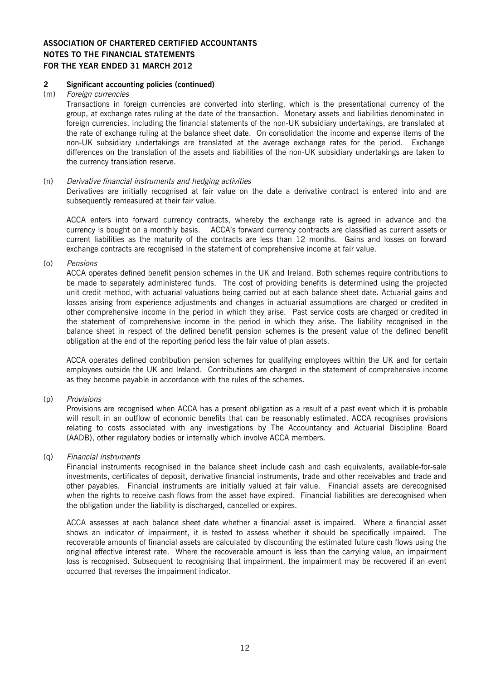#### **2 Significant accounting policies (continued)**

#### (m) Foreign currencies

Transactions in foreign currencies are converted into sterling, which is the presentational currency of the group, at exchange rates ruling at the date of the transaction. Monetary assets and liabilities denominated in foreign currencies, including the financial statements of the non-UK subsidiary undertakings, are translated at the rate of exchange ruling at the balance sheet date. On consolidation the income and expense items of the non-UK subsidiary undertakings are translated at the average exchange rates for the period. Exchange differences on the translation of the assets and liabilities of the non-UK subsidiary undertakings are taken to the currency translation reserve.

#### (n) Derivative financial instruments and hedging activities

Derivatives are initially recognised at fair value on the date a derivative contract is entered into and are subsequently remeasured at their fair value.

ACCA enters into forward currency contracts, whereby the exchange rate is agreed in advance and the currency is bought on a monthly basis. ACCA's forward currency contracts are classified as current assets or current liabilities as the maturity of the contracts are less than 12 months. Gains and losses on forward exchange contracts are recognised in the statement of comprehensive income at fair value.

(o) Pensions

ACCA operates defined benefit pension schemes in the UK and Ireland. Both schemes require contributions to be made to separately administered funds. The cost of providing benefits is determined using the projected unit credit method, with actuarial valuations being carried out at each balance sheet date. Actuarial gains and losses arising from experience adjustments and changes in actuarial assumptions are charged or credited in other comprehensive income in the period in which they arise. Past service costs are charged or credited in the statement of comprehensive income in the period in which they arise. The liability recognised in the balance sheet in respect of the defined benefit pension schemes is the present value of the defined benefit obligation at the end of the reporting period less the fair value of plan assets.

ACCA operates defined contribution pension schemes for qualifying employees within the UK and for certain employees outside the UK and Ireland. Contributions are charged in the statement of comprehensive income as they become payable in accordance with the rules of the schemes.

#### (p) Provisions

Provisions are recognised when ACCA has a present obligation as a result of a past event which it is probable will result in an outflow of economic benefits that can be reasonably estimated. ACCA recognises provisions relating to costs associated with any investigations by The Accountancy and Actuarial Discipline Board (AADB), other regulatory bodies or internally which involve ACCA members.

#### (q) Financial instruments

Financial instruments recognised in the balance sheet include cash and cash equivalents, available-for-sale investments, certificates of deposit, derivative financial instruments, trade and other receivables and trade and other payables. Financial instruments are initially valued at fair value. Financial assets are derecognised when the rights to receive cash flows from the asset have expired. Financial liabilities are derecognised when the obligation under the liability is discharged, cancelled or expires.

ACCA assesses at each balance sheet date whether a financial asset is impaired. Where a financial asset shows an indicator of impairment, it is tested to assess whether it should be specifically impaired. The recoverable amounts of financial assets are calculated by discounting the estimated future cash flows using the original effective interest rate. Where the recoverable amount is less than the carrying value, an impairment loss is recognised. Subsequent to recognising that impairment, the impairment may be recovered if an event occurred that reverses the impairment indicator.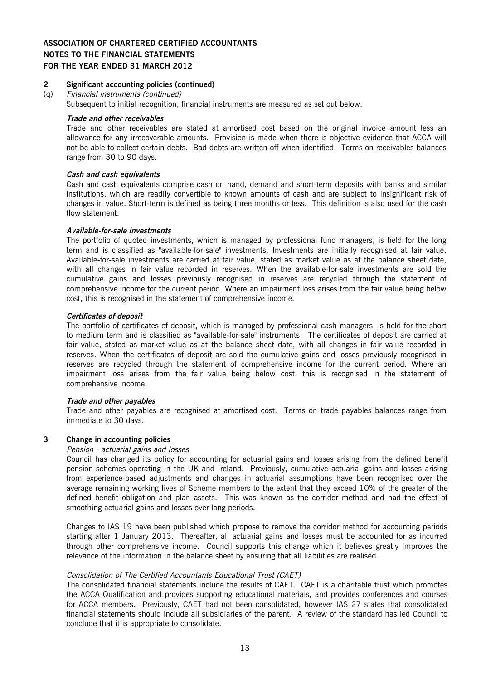#### **2 Significant accounting policies (continued)**

(q) Financial instruments (continued)

Subsequent to initial recognition, financial instruments are measured as set out below.

#### **Trade and other receivables**

Trade and other receivables are stated at amortised cost based on the original invoice amount less an allowance for any irrecoverable amounts. Provision is made when there is objective evidence that ACCA will not be able to collect certain debts. Bad debts are written off when identified. Terms on receivables balances range from 30 to 90 days.

#### **Cash and cash equivalents**

Cash and cash equivalents comprise cash on hand, demand and short-term deposits with banks and similar institutions, which are readily convertible to known amounts of cash and are subject to insignificant risk of changes in value. Short-term is defined as being three months or less. This definition is also used for the cash flow statement.

#### **Available-for-sale investments**

The portfolio of quoted investments, which is managed by professional fund managers, is held for the long term and is classified as "available-for-sale" investments. Investments are initially recognised at fair value. Available-for-sale investments are carried at fair value, stated as market value as at the balance sheet date, with all changes in fair value recorded in reserves. When the available-for-sale investments are sold the cumulative gains and losses previously recognised in reserves are recycled through the statement of comprehensive income for the current period. Where an impairment loss arises from the fair value being below cost, this is recognised in the statement of comprehensive income.

#### **Certificates of deposit**

The portfolio of certificates of deposit, which is managed by professional cash managers, is held for the short to medium term and is classified as "available-for-sale" instruments. The certificates of deposit are carried at fair value, stated as market value as at the balance sheet date, with all changes in fair value recorded in reserves. When the certificates of deposit are sold the cumulative gains and losses previously recognised in reserves are recycled through the statement of comprehensive income for the current period. Where an impairment loss arises from the fair value being below cost, this is recognised in the statement of comprehensive income.

#### **Trade and other payables**

Trade and other payables are recognised at amortised cost. Terms on trade payables balances range from immediate to 30 days.

#### **3 Change in accounting policies**

#### Pension - actuarial gains and losses

Council has changed its policy for accounting for actuarial gains and losses arising from the defined benefit pension schemes operating in the UK and Ireland. Previously, cumulative actuarial gains and losses arising from experience-based adjustments and changes in actuarial assumptions have been recognised over the average remaining working lives of Scheme members to the extent that they exceed 10% of the greater of the defined benefit obligation and plan assets. This was known as the corridor method and had the effect of smoothing actuarial gains and losses over long periods.

Changes to IAS 19 have been published which propose to remove the corridor method for accounting periods starting after 1 January 2013. Thereafter, all actuarial gains and losses must be accounted for as incurred through other comprehensive income. Council supports this change which it believes greatly improves the relevance of the information in the balance sheet by ensuring that all liabilities are realised.

#### Consolidation of The Certified Accountants Educational Trust (CAET)

The consolidated financial statements include the results of CAET. CAET is a charitable trust which promotes the ACCA Qualification and provides supporting educational materials, and provides conferences and courses for ACCA members. Previously, CAET had not been consolidated, however IAS 27 states that consolidated financial statements should include all subsidiaries of the parent. A review of the standard has led Council to conclude that it is appropriate to consolidate.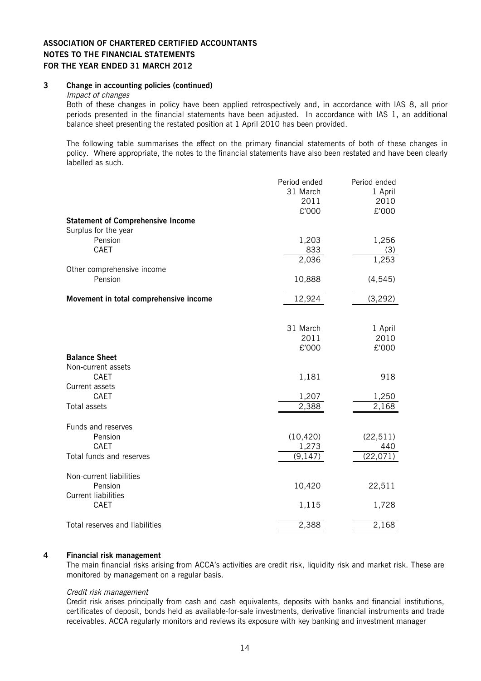#### **3 Change in accounting policies (continued)**

#### Impact of changes

Both of these changes in policy have been applied retrospectively and, in accordance with IAS 8, all prior periods presented in the financial statements have been adjusted. In accordance with IAS 1, an additional balance sheet presenting the restated position at 1 April 2010 has been provided.

The following table summarises the effect on the primary financial statements of both of these changes in policy. Where appropriate, the notes to the financial statements have also been restated and have been clearly labelled as such.

|                                          | Period ended | Period ended |
|------------------------------------------|--------------|--------------|
|                                          | 31 March     | 1 April      |
|                                          | 2011         | 2010         |
|                                          | £'000        | £'000        |
| <b>Statement of Comprehensive Income</b> |              |              |
| Surplus for the year                     |              |              |
| Pension                                  | 1,203        | 1,256        |
| CAET                                     |              |              |
|                                          | 833          | (3)          |
|                                          | 2,036        | 1,253        |
| Other comprehensive income               |              |              |
| Pension                                  | 10,888       | (4, 545)     |
| Movement in total comprehensive income   | 12,924       | (3,292)      |
|                                          |              |              |
|                                          | 31 March     | 1 April      |
|                                          | 2011         | 2010         |
|                                          | £'000        | £'000        |
| <b>Balance Sheet</b>                     |              |              |
| Non-current assets                       |              |              |
| CAET                                     | 1,181        | 918          |
| Current assets                           |              |              |
| CAET                                     | 1,207        | 1,250        |
| Total assets                             | 2,388        | 2,168        |
|                                          |              |              |
| Funds and reserves                       |              |              |
| Pension                                  | (10, 420)    | (22, 511)    |
| CAET                                     | 1,273        | 440          |
| Total funds and reserves                 | (9, 147)     | (22,071)     |
| Non-current liabilities                  |              |              |
| Pension                                  | 10,420       | 22,511       |
| <b>Current liabilities</b>               |              |              |
| CAET                                     | 1,115        | 1,728        |
| Total reserves and liabilities           | 2,388        | 2,168        |
|                                          |              |              |

#### **4 Financial risk management**

The main financial risks arising from ACCA's activities are credit risk, liquidity risk and market risk. These are monitored by management on a regular basis.

#### Credit risk management

Credit risk arises principally from cash and cash equivalents, deposits with banks and financial institutions, certificates of deposit, bonds held as available-for-sale investments, derivative financial instruments and trade receivables. ACCA regularly monitors and reviews its exposure with key banking and investment manager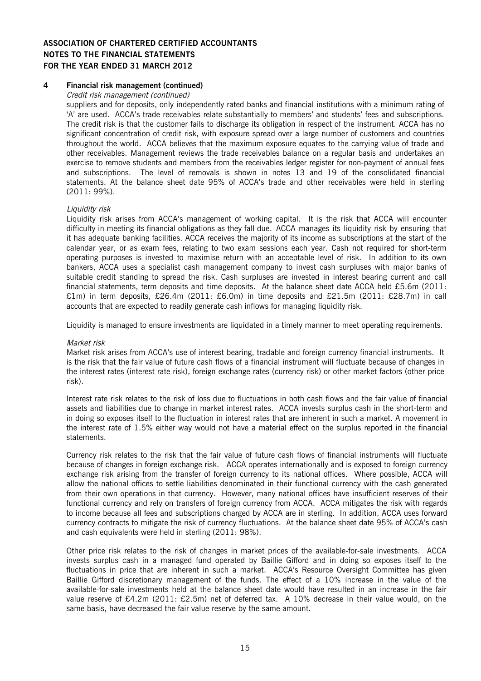### **4 Financial risk management (continued)**

Credit risk management (continued)

suppliers and for deposits, only independently rated banks and financial institutions with a minimum rating of 'A' are used. ACCA's trade receivables relate substantially to members' and students' fees and subscriptions. The credit risk is that the customer fails to discharge its obligation in respect of the instrument. ACCA has no significant concentration of credit risk, with exposure spread over a large number of customers and countries throughout the world. ACCA believes that the maximum exposure equates to the carrying value of trade and other receivables. Management reviews the trade receivables balance on a regular basis and undertakes an exercise to remove students and members from the receivables ledger register for non-payment of annual fees and subscriptions. The level of removals is shown in notes 13 and 19 of the consolidated financial statements. At the balance sheet date 95% of ACCA's trade and other receivables were held in sterling (2011: 99%).

#### Liquidity risk

Liquidity risk arises from ACCA's management of working capital. It is the risk that ACCA will encounter difficulty in meeting its financial obligations as they fall due. ACCA manages its liquidity risk by ensuring that it has adequate banking facilities. ACCA receives the majority of its income as subscriptions at the start of the calendar year, or as exam fees, relating to two exam sessions each year. Cash not required for short-term operating purposes is invested to maximise return with an acceptable level of risk. In addition to its own bankers, ACCA uses a specialist cash management company to invest cash surpluses with major banks of suitable credit standing to spread the risk. Cash surpluses are invested in interest bearing current and call financial statements, term deposits and time deposits. At the balance sheet date ACCA held £5.6m (2011: £1m) in term deposits, £26.4m (2011: £6.0m) in time deposits and £21.5m (2011: £28.7m) in call accounts that are expected to readily generate cash inflows for managing liquidity risk.

Liquidity is managed to ensure investments are liquidated in a timely manner to meet operating requirements.

#### Market risk

Market risk arises from ACCA's use of interest bearing, tradable and foreign currency financial instruments. It is the risk that the fair value of future cash flows of a financial instrument will fluctuate because of changes in the interest rates (interest rate risk), foreign exchange rates (currency risk) or other market factors (other price risk).

Interest rate risk relates to the risk of loss due to fluctuations in both cash flows and the fair value of financial assets and liabilities due to change in market interest rates. ACCA invests surplus cash in the short-term and in doing so exposes itself to the fluctuation in interest rates that are inherent in such a market. A movement in the interest rate of 1.5% either way would not have a material effect on the surplus reported in the financial statements.

Currency risk relates to the risk that the fair value of future cash flows of financial instruments will fluctuate because of changes in foreign exchange risk. ACCA operates internationally and is exposed to foreign currency exchange risk arising from the transfer of foreign currency to its national offices. Where possible, ACCA will allow the national offices to settle liabilities denominated in their functional currency with the cash generated from their own operations in that currency. However, many national offices have insufficient reserves of their functional currency and rely on transfers of foreign currency from ACCA. ACCA mitigates the risk with regards to income because all fees and subscriptions charged by ACCA are in sterling. In addition, ACCA uses forward currency contracts to mitigate the risk of currency fluctuations. At the balance sheet date 95% of ACCA's cash and cash equivalents were held in sterling (2011: 98%).

Other price risk relates to the risk of changes in market prices of the available-for-sale investments. ACCA invests surplus cash in a managed fund operated by Baillie Gifford and in doing so exposes itself to the fluctuations in price that are inherent in such a market. ACCA's Resource Oversight Committee has given Baillie Gifford discretionary management of the funds. The effect of a 10% increase in the value of the available-for-sale investments held at the balance sheet date would have resulted in an increase in the fair value reserve of £4.2m (2011: £2.5m) net of deferred tax. A 10% decrease in their value would, on the same basis, have decreased the fair value reserve by the same amount.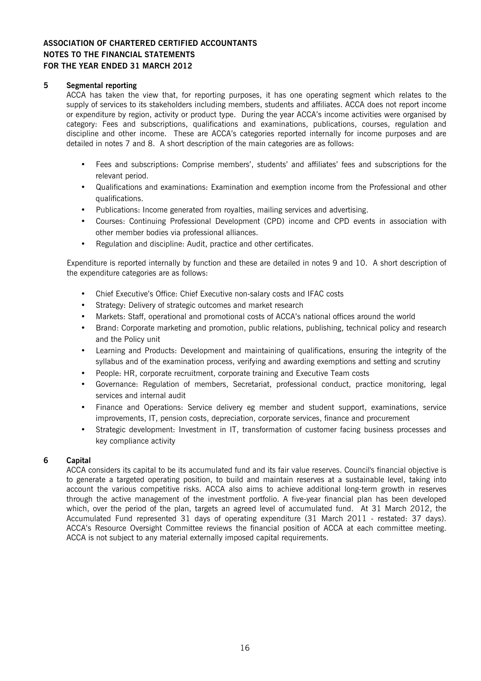#### **5 Segmental reporting**

ACCA has taken the view that, for reporting purposes, it has one operating segment which relates to the supply of services to its stakeholders including members, students and affiliates. ACCA does not report income or expenditure by region, activity or product type. During the year ACCA's income activities were organised by category: Fees and subscriptions, qualifications and examinations, publications, courses, regulation and discipline and other income. These are ACCA's categories reported internally for income purposes and are detailed in notes 7 and 8. A short description of the main categories are as follows:

- Fees and subscriptions: Comprise members', students' and affiliates' fees and subscriptions for the relevant period.
- Qualifications and examinations: Examination and exemption income from the Professional and other qualifications.
- Publications: Income generated from royalties, mailing services and advertising.
- Courses: Continuing Professional Development (CPD) income and CPD events in association with other member bodies via professional alliances.
- Regulation and discipline: Audit, practice and other certificates.

Expenditure is reported internally by function and these are detailed in notes 9 and 10. A short description of the expenditure categories are as follows:

- Chief Executive's Office: Chief Executive non-salary costs and IFAC costs
- Strategy: Delivery of strategic outcomes and market research
- Markets: Staff, operational and promotional costs of ACCA's national offices around the world
- Brand: Corporate marketing and promotion, public relations, publishing, technical policy and research and the Policy unit
- Learning and Products: Development and maintaining of qualifications, ensuring the integrity of the syllabus and of the examination process, verifying and awarding exemptions and setting and scrutiny
- People: HR, corporate recruitment, corporate training and Executive Team costs
- Governance: Regulation of members, Secretariat, professional conduct, practice monitoring, legal services and internal audit
- Finance and Operations: Service delivery eg member and student support, examinations, service improvements, IT, pension costs, depreciation, corporate services, finance and procurement
- Strategic development: Investment in IT, transformation of customer facing business processes and key compliance activity

#### **6 Capital**

ACCA considers its capital to be its accumulated fund and its fair value reserves. Council's financial objective is to generate a targeted operating position, to build and maintain reserves at a sustainable level, taking into account the various competitive risks. ACCA also aims to achieve additional long-term growth in reserves through the active management of the investment portfolio. A five-year financial plan has been developed which, over the period of the plan, targets an agreed level of accumulated fund. At 31 March 2012, the Accumulated Fund represented 31 days of operating expenditure (31 March 2011 - restated: 37 days). ACCA's Resource Oversight Committee reviews the financial position of ACCA at each committee meeting. ACCA is not subject to any material externally imposed capital requirements.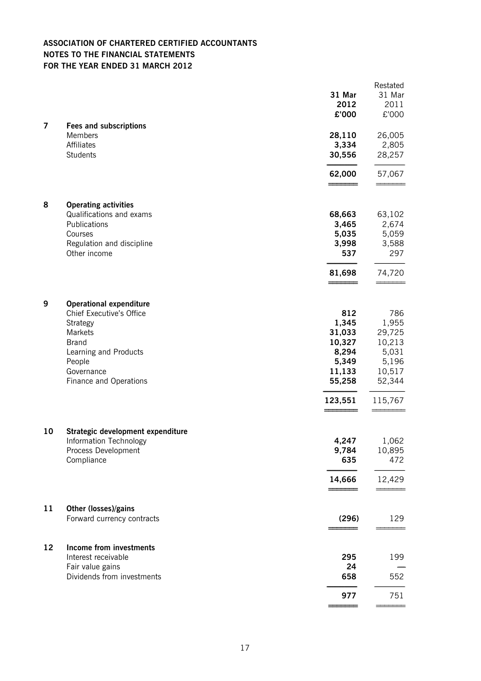|                |                                                                                                                                                                              | 31 Mar<br>2012<br>£'000                                                           | Restated<br>31 Mar<br>2011<br>£'000                                               |
|----------------|------------------------------------------------------------------------------------------------------------------------------------------------------------------------------|-----------------------------------------------------------------------------------|-----------------------------------------------------------------------------------|
| $\overline{7}$ | <b>Fees and subscriptions</b><br>Members<br>Affiliates<br>Students                                                                                                           | 28,110<br>3,334<br>30,556                                                         | 26,005<br>2,805<br>28,257                                                         |
|                |                                                                                                                                                                              | 62,000<br>======                                                                  | 57,067                                                                            |
| 8              | <b>Operating activities</b><br>Qualifications and exams<br>Publications<br>Courses<br>Regulation and discipline<br>Other income                                              | 68,663<br>3,465<br>5,035<br>3,998<br>537                                          | 63,102<br>2,674<br>5,059<br>3,588<br>297                                          |
|                |                                                                                                                                                                              | 81,698                                                                            | 74,720                                                                            |
| 9              | <b>Operational expenditure</b><br>Chief Executive's Office<br>Strategy<br>Markets<br><b>Brand</b><br>Learning and Products<br>People<br>Governance<br>Finance and Operations | 812<br>1,345<br>31,033<br>10,327<br>8,294<br>5,349<br>11,133<br>55,258<br>123,551 | 786<br>1,955<br>29,725<br>10,213<br>5,031<br>5,196<br>10,517<br>52,344<br>115,767 |
| 10             | Strategic development expenditure<br>Information Technology<br>Process Development<br>Compliance                                                                             | 4,247<br>9,784<br>635<br>14,666                                                   | 1,062<br>10,895<br>472<br>12,429                                                  |
| 11             | Other (losses)/gains<br>Forward currency contracts                                                                                                                           | (296)                                                                             | 129                                                                               |
| 12             | <b>Income from investments</b><br>Interest receivable<br>Fair value gains<br>Dividends from investments                                                                      | 295<br>24<br>658                                                                  | 199<br>552                                                                        |
|                |                                                                                                                                                                              | 977                                                                               | 751                                                                               |
|                |                                                                                                                                                                              |                                                                                   |                                                                                   |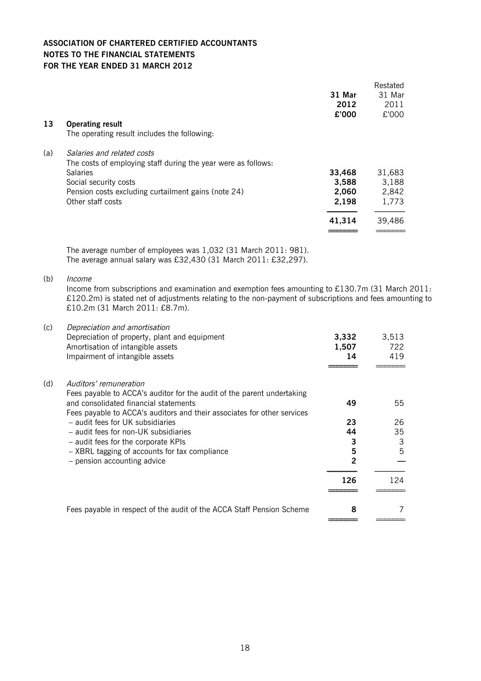|     |                                                               | 31 Mar<br>2012<br>£'000 | Restated<br>31 Mar<br>2011<br>£'000 |
|-----|---------------------------------------------------------------|-------------------------|-------------------------------------|
| 13  | <b>Operating result</b>                                       |                         |                                     |
|     | The operating result includes the following.                  |                         |                                     |
| (a) | Salaries and related costs                                    |                         |                                     |
|     | The costs of employing staff during the year were as follows: |                         |                                     |
|     | <b>Salaries</b>                                               | 33,468                  | 31,683                              |
|     | Social security costs                                         | 3,588                   | 3,188                               |
|     | Pension costs excluding curtailment gains (note 24)           | 2,060                   | 2,842                               |
|     | Other staff costs                                             | 2,198                   | 1,773                               |
|     |                                                               | 41,314                  | 39,486                              |
|     |                                                               |                         |                                     |

The average number of employees was 1,032 (31 March 2011: 981). The average annual salary was £32,430 (31 March 2011: £32,297).

(b) Income

Income from subscriptions and examination and exemption fees amounting to £130.7m (31 March 2011: £120.2m) is stated net of adjustments relating to the non-payment of subscriptions and fees amounting to £10.2m (31 March 2011: £8.7m).

| (c) | Depreciation and amortisation<br>Depreciation of property, plant and equipment | 3,332 | 3,513 |
|-----|--------------------------------------------------------------------------------|-------|-------|
|     |                                                                                |       |       |
|     | Amortisation of intangible assets                                              | 1,507 | 722   |
|     | Impairment of intangible assets                                                | 14    | 419   |
|     |                                                                                |       |       |
| (d) | Auditors' remuneration                                                         |       |       |
|     | Fees payable to ACCA's auditor for the audit of the parent undertaking         |       |       |
|     | and consolidated financial statements                                          | 49    | 55    |
|     | Fees payable to ACCA's auditors and their associates for other services        |       |       |
|     | - audit fees for UK subsidiaries                                               | 23    | 26    |
|     | - audit fees for non-UK subsidiaries                                           | 44    | 35    |
|     |                                                                                |       |       |
|     | - audit fees for the corporate KPIs                                            | 3     | 3     |
|     | - XBRL tagging of accounts for tax compliance                                  | 5     | 5     |
|     | - pension accounting advice                                                    | 2     |       |
|     |                                                                                | 126   | 124   |
|     |                                                                                |       |       |
|     | Fees payable in respect of the audit of the ACCA Staff Pension Scheme          | 8     |       |
|     |                                                                                |       |       |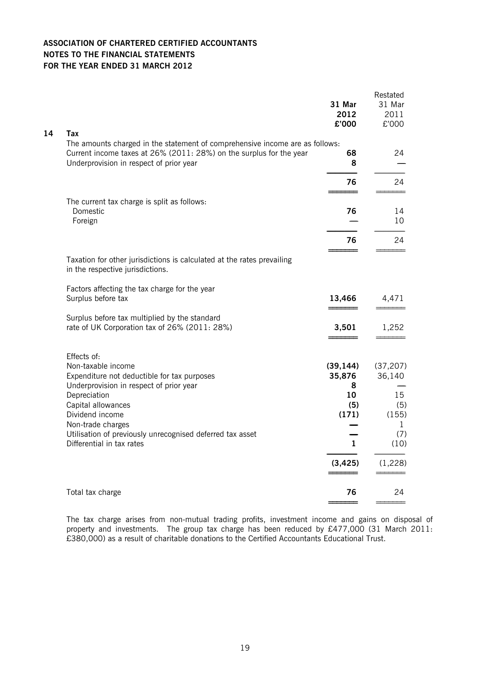| 14<br>Tax<br>The amounts charged in the statement of comprehensive income are as follows:<br>Current income taxes at 26% (2011: 28%) on the surplus for the year<br>68<br>8<br>Underprovision in respect of prior year                 | 24                                        |
|----------------------------------------------------------------------------------------------------------------------------------------------------------------------------------------------------------------------------------------|-------------------------------------------|
| 76                                                                                                                                                                                                                                     | 24                                        |
| The current tax charge is split as follows:<br>Domestic<br>76<br>Foreign<br>76                                                                                                                                                         | 14<br>10<br>24                            |
| Taxation for other jurisdictions is calculated at the rates prevailing<br>in the respective jurisdictions.                                                                                                                             |                                           |
| Factors affecting the tax charge for the year<br>Surplus before tax<br>13,466                                                                                                                                                          | 4,471                                     |
| Surplus before tax multiplied by the standard<br>rate of UK Corporation tax of 26% (2011: 28%)<br>3,501                                                                                                                                | 1,252                                     |
| Effects of:<br>Non-taxable income<br>(39, 144)<br>Expenditure not deductible for tax purposes<br>35,876<br>Underprovision in respect of prior year<br>8<br>Depreciation<br>10<br>(5)<br>Capital allowances<br>Dividend income<br>(171) | (37, 207)<br>36,140<br>15<br>(5)<br>(155) |
| Non-trade charges<br>Utilisation of previously unrecognised deferred tax asset<br>1<br>Differential in tax rates                                                                                                                       | $\mathbf{1}$<br>(7)<br>(10)               |
| (3, 425)                                                                                                                                                                                                                               | (1,228)                                   |
| 76<br>Total tax charge                                                                                                                                                                                                                 | 24                                        |

The tax charge arises from non-mutual trading profits, investment income and gains on disposal of property and investments. The group tax charge has been reduced by £477,000 (31 March 2011: £380,000) as a result of charitable donations to the Certified Accountants Educational Trust.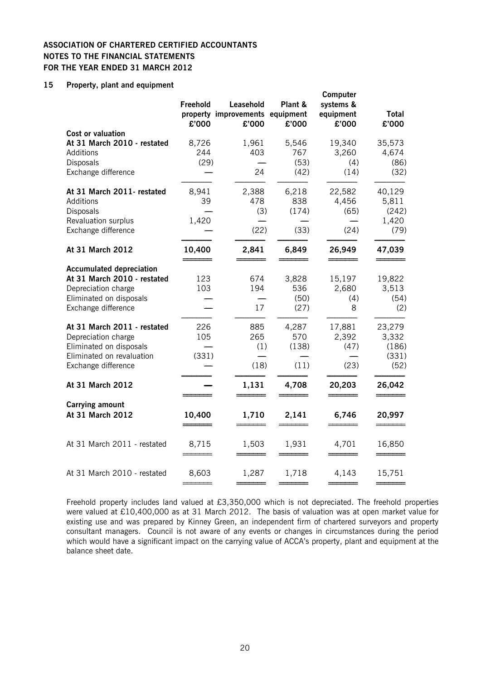### **15 Property, plant and equipment**

| Freehold             | Leasehold          | Plant &                       | Computer<br>systems &<br>equipment                                     | <b>Total</b><br>£'000                     |
|----------------------|--------------------|-------------------------------|------------------------------------------------------------------------|-------------------------------------------|
| 8,726<br>244         | 1,961<br>403<br>24 | 5,546<br>767<br>(53)<br>(42)  | 19,340<br>3,260<br>(4)<br>(14)                                         | 35,573<br>4,674<br>(86)<br>(32)           |
| 8,941<br>39<br>1,420 | 2,388<br>478       | 6,218<br>838<br>(174)<br>(33) | 22,582<br>4,456<br>(65)<br>(24)                                        | 40,129<br>5,811<br>(242)<br>1,420<br>(79) |
| 10,400               | 2,841              | 6,849                         | 26,949                                                                 | 47,039                                    |
| 123<br>103           | 674<br>194<br>17   | 3,828<br>536<br>(50)<br>(27)  | 15,197<br>2,680<br>(4)<br>8                                            | 19,822<br>3,513<br>(54)<br>(2)            |
| 226<br>105           | 885<br>265         | 4,287<br>570<br>(138)<br>(11) | 17,881<br>2,392<br>(47)<br>(23)                                        | 23,279<br>3,332<br>(186)<br>(331)<br>(52) |
|                      | 1,131              | 4,708                         | 20,203                                                                 | 26,042                                    |
| 10,400               | 1,710              | 2,141                         | 6,746                                                                  | 20,997                                    |
| 8,715                | 1,503              | 1,931                         | 4,701                                                                  | 16,850                                    |
| 8,603                | 1,287              | 1,718                         | 4,143                                                                  | 15,751                                    |
|                      | £'000              | £'000<br>(29)<br>(331)        | property improvements equipment<br>£'000<br>(3)<br>(22)<br>(1)<br>(18) | £'000                                     |

Freehold property includes land valued at £3,350,000 which is not depreciated. The freehold properties were valued at £10,400,000 as at 31 March 2012. The basis of valuation was at open market value for existing use and was prepared by Kinney Green, an independent firm of chartered surveyors and property consultant managers. Council is not aware of any events or changes in circumstances during the period which would have a significant impact on the carrying value of ACCA's property, plant and equipment at the balance sheet date.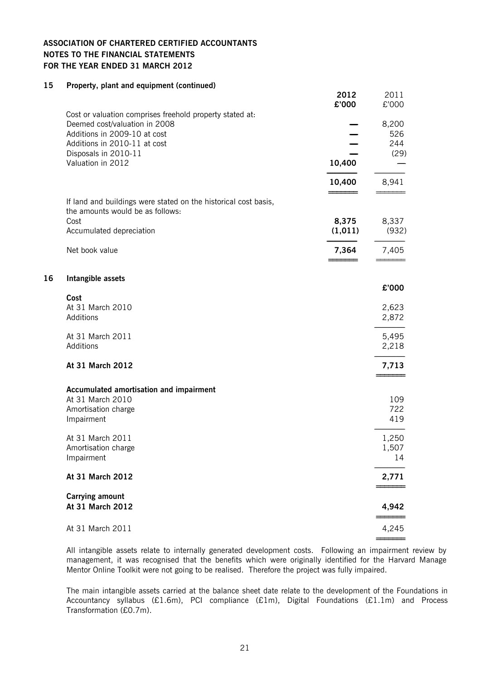#### **15 Property, plant and equipment (continued)**

|    |                                                                 | 2012<br>£'000 | 2011<br>£'000 |
|----|-----------------------------------------------------------------|---------------|---------------|
|    | Cost or valuation comprises freehold property stated at:        |               |               |
|    | Deemed cost/valuation in 2008                                   |               | 8,200         |
|    | Additions in 2009-10 at cost                                    |               | 526           |
|    | Additions in 2010-11 at cost<br>Disposals in 2010-11            |               | 244<br>(29)   |
|    | Valuation in 2012                                               | 10,400        |               |
|    |                                                                 |               |               |
|    |                                                                 | 10,400        | 8,941         |
|    | If land and buildings were stated on the historical cost basis, |               |               |
|    | the amounts would be as follows:                                |               |               |
|    | Cost                                                            | 8,375         | 8,337         |
|    | Accumulated depreciation                                        | (1, 011)      | (932)         |
|    | Net book value                                                  | 7,364         | 7,405         |
|    |                                                                 |               |               |
| 16 | Intangible assets                                               |               | £'000         |
|    | Cost                                                            |               |               |
|    | At 31 March 2010                                                |               | 2,623         |
|    | Additions                                                       |               | 2,872         |
|    | At 31 March 2011                                                |               | 5,495         |
|    | Additions                                                       |               | 2,218         |
|    | At 31 March 2012                                                |               | 7,713         |
|    | Accumulated amortisation and impairment                         |               |               |
|    | At 31 March 2010                                                |               | 109           |
|    | Amortisation charge                                             |               | 722           |
|    | Impairment                                                      |               | 419           |
|    | At 31 March 2011                                                |               | 1,250         |
|    | Amortisation charge                                             |               | 1,507         |
|    | Impairment                                                      |               | 14            |
|    | At 31 March 2012                                                |               | 2,771         |
|    | <b>Carrying amount</b>                                          |               |               |
|    | At 31 March 2012                                                |               | 4,942         |
|    | At 31 March 2011                                                |               | 4,245         |
|    |                                                                 |               |               |

All intangible assets relate to internally generated development costs. Following an impairment review by management, it was recognised that the benefits which were originally identified for the Harvard Manage Mentor Online Toolkit were not going to be realised. Therefore the project was fully impaired.

The main intangible assets carried at the balance sheet date relate to the development of the Foundations in Accountancy syllabus (£1.6m), PCI compliance (£1m), Digital Foundations (£1.1m) and Process Transformation (£0.7m).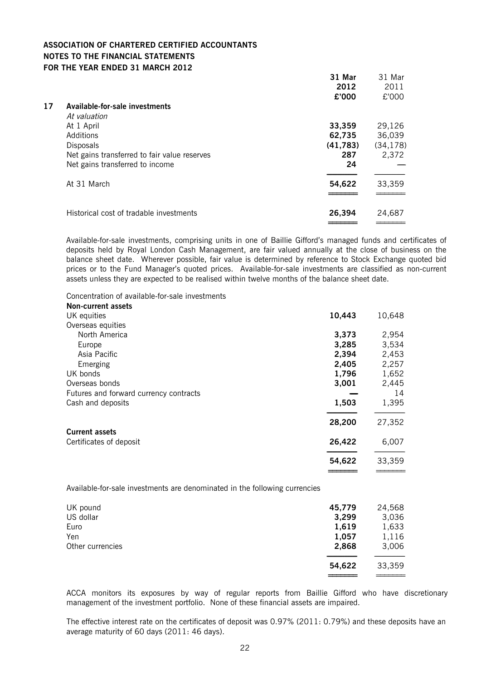|    |                                              | 31 Mar   | 31 Mar    |
|----|----------------------------------------------|----------|-----------|
|    |                                              | 2012     | 2011      |
|    |                                              | £'000    | £'000     |
| 17 | Available-for-sale investments               |          |           |
|    | At valuation                                 |          |           |
|    | At 1 April                                   | 33,359   | 29,126    |
|    | Additions                                    | 62,735   | 36,039    |
|    | <b>Disposals</b>                             | (41,783) | (34, 178) |
|    | Net gains transferred to fair value reserves | 287      | 2,372     |
|    | Net gains transferred to income              | 24       |           |
|    | At 31 March                                  | 54,622   | 33,359    |
|    | Historical cost of tradable investments      | 26,394   | 24,687    |
|    |                                              |          |           |

Available-for-sale investments, comprising units in one of Baillie Gifford's managed funds and certificates of deposits held by Royal London Cash Management, are fair valued annually at the close of business on the balance sheet date. Wherever possible, fair value is determined by reference to Stock Exchange quoted bid prices or to the Fund Manager's quoted prices. Available-for-sale investments are classified as non-current assets unless they are expected to be realised within twelve months of the balance sheet date.

Concentration of available-for-sale investments

| Non-current assets                     |        |        |
|----------------------------------------|--------|--------|
| UK equities                            | 10,443 | 10,648 |
| Overseas equities                      |        |        |
| North America                          | 3,373  | 2,954  |
| Europe                                 | 3,285  | 3,534  |
| Asia Pacific                           | 2,394  | 2,453  |
| Emerging                               | 2,405  | 2,257  |
| UK bonds                               | 1,796  | 1,652  |
| Overseas bonds                         | 3,001  | 2,445  |
| Futures and forward currency contracts |        | 14     |
| Cash and deposits                      | 1,503  | 1,395  |
|                                        | 28,200 | 27,352 |
| <b>Current assets</b>                  |        |        |
| Certificates of deposit                | 26,422 | 6,007  |
|                                        | 54,622 | 33,359 |
|                                        |        |        |

Available-for-sale investments are denominated in the following currencies

| UK pound         | 45,779 | 24,568 |
|------------------|--------|--------|
| US dollar        | 3,299  | 3,036  |
| Euro             | 1,619  | 1,633  |
| Yen              | 1,057  | 1,116  |
| Other currencies | 2,868  | 3,006  |
|                  | 54,622 | 33,359 |
|                  |        |        |

ACCA monitors its exposures by way of regular reports from Baillie Gifford who have discretionary management of the investment portfolio. None of these financial assets are impaired.

The effective interest rate on the certificates of deposit was 0.97% (2011: 0.79%) and these deposits have an average maturity of 60 days (2011: 46 days).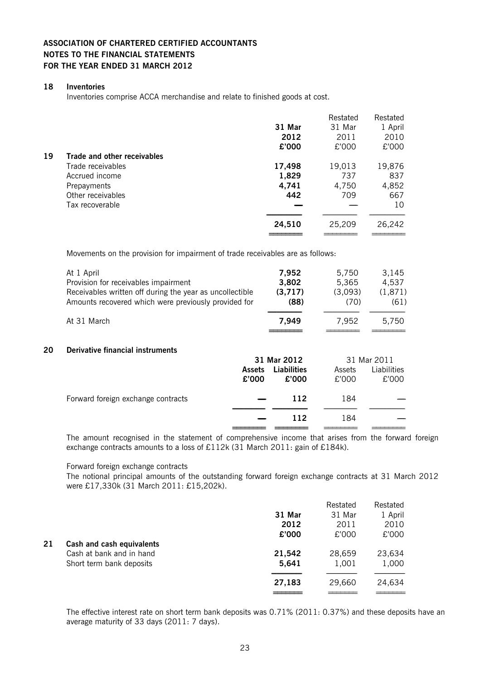#### **18 Inventories**

Inventories comprise ACCA merchandise and relate to finished goods at cost.

|    |                             |        | Restated | Restated |
|----|-----------------------------|--------|----------|----------|
|    |                             | 31 Mar | 31 Mar   | 1 April  |
|    |                             | 2012   | 2011     | 2010     |
|    |                             | £'000  | £'000    | £'000    |
| 19 | Trade and other receivables |        |          |          |
|    | Trade receivables           | 17,498 | 19,013   | 19,876   |
|    | Accrued income              | 1,829  | 737      | 837      |
|    | Prepayments                 | 4,741  | 4,750    | 4,852    |
|    | Other receivables           | 442    | 709      | 667      |
|    | Tax recoverable             |        |          | 10       |
|    |                             |        |          |          |
|    |                             | 24,510 | 25,209   | 26,242   |
|    |                             |        |          |          |

Movements on the provision for impairment of trade receivables are as follows:

|    | At 1 April                                               | 7,952              | 5,750   | 3,145       |
|----|----------------------------------------------------------|--------------------|---------|-------------|
|    | Provision for receivables impairment                     | 3,802              | 5,365   | 4,537       |
|    | Receivables written off during the year as uncollectible | (3,717)            | (3,093) | (1,871)     |
|    | Amounts recovered which were previously provided for     | (88)               | (70)    | (61)        |
|    | At 31 March                                              | 7,949              | 7,952   | 5,750       |
| 20 | Derivative financial instruments                         | 31 Mar 2012        |         | 31 Mar 2011 |
|    | <b>Assets</b>                                            | <b>Liabilities</b> | Assets  | Liabilities |
|    |                                                          |                    | $\sim$  | $\sim$      |

|                                                                                                          | £'000                    | £'000 | £'000 | £'000 |
|----------------------------------------------------------------------------------------------------------|--------------------------|-------|-------|-------|
| Forward foreign exchange contracts                                                                       | $\overline{\phantom{0}}$ | 112   | 184   |       |
|                                                                                                          |                          | 112   | 184   |       |
| The concerning recorderal to the clifforesit of concerniculate theories. Their colors from the fourceral |                          |       |       |       |

The amount recognised in the statement of comprehensive income that arises from the forward foreign exchange contracts amounts to a loss of £112k (31 March 2011: gain of £184k).

Forward foreign exchange contracts

The notional principal amounts of the outstanding forward foreign exchange contracts at 31 March 2012 were £17,330k (31 March 2011: £15,202k).

|    |                           |        | Restated | Restated |
|----|---------------------------|--------|----------|----------|
|    |                           | 31 Mar | 31 Mar   | 1 April  |
|    |                           | 2012   | 2011     | 2010     |
|    |                           | £'000  | £'000    | £'000    |
| 21 | Cash and cash equivalents |        |          |          |
|    | Cash at bank and in hand  | 21,542 | 28,659   | 23,634   |
|    | Short term bank deposits  | 5,641  | 1,001    | 1,000    |
|    |                           | 27,183 | 29,660   | 24,634   |
|    |                           |        |          |          |

The effective interest rate on short term bank deposits was 0.71% (2011: 0.37%) and these deposits have an average maturity of 33 days (2011: 7 days).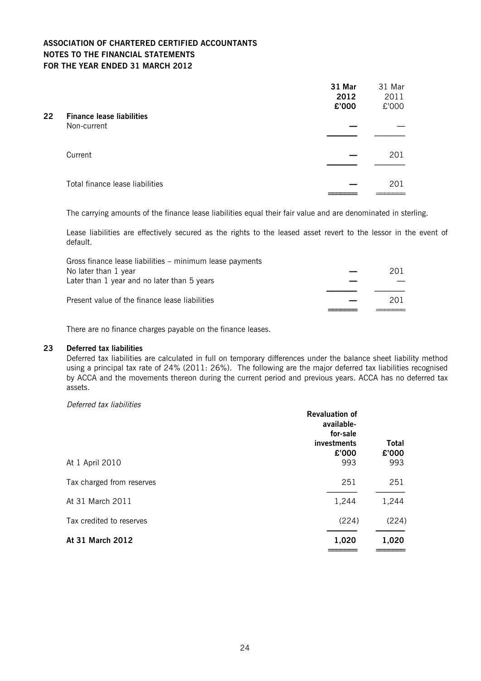| $22 \,$ | <b>Finance lease liabilities</b> | 31 Mar<br>2012<br>£'000 | 31 Mar<br>2011<br>£'000 |
|---------|----------------------------------|-------------------------|-------------------------|
|         | Non-current                      |                         |                         |
|         | Current                          |                         | 201                     |
|         | Total finance lease liabilities  |                         | 201                     |

The carrying amounts of the finance lease liabilities equal their fair value and are denominated in sterling.

Lease liabilities are effectively secured as the rights to the leased asset revert to the lessor in the event of default.

| Gross finance lease liabilities – minimum lease payments |     |
|----------------------------------------------------------|-----|
| No later than 1 year                                     | 201 |
| Later than 1 year and no later than 5 years              |     |
| Present value of the finance lease liabilities           | 201 |
|                                                          |     |

There are no finance charges payable on the finance leases.

### **23 Deferred tax liabilities**

Deferred tax liabilities are calculated in full on temporary differences under the balance sheet liability method using a principal tax rate of 24% (2011: 26%). The following are the major deferred tax liabilities recognised by ACCA and the movements thereon during the current period and previous years. ACCA has no deferred tax assets.

#### Deferred tax liabilities

|                           | <b>Revaluation of</b><br>available-<br>for-sale<br>investments<br>£'000 | <b>Total</b><br>£'000 |
|---------------------------|-------------------------------------------------------------------------|-----------------------|
| At 1 April 2010           | 993                                                                     | 993                   |
| Tax charged from reserves | 251                                                                     | 251                   |
| At 31 March 2011          | 1,244                                                                   | 1,244                 |
| Tax credited to reserves  | (224)                                                                   | (224)                 |
| At 31 March 2012          | 1,020                                                                   | 1,020                 |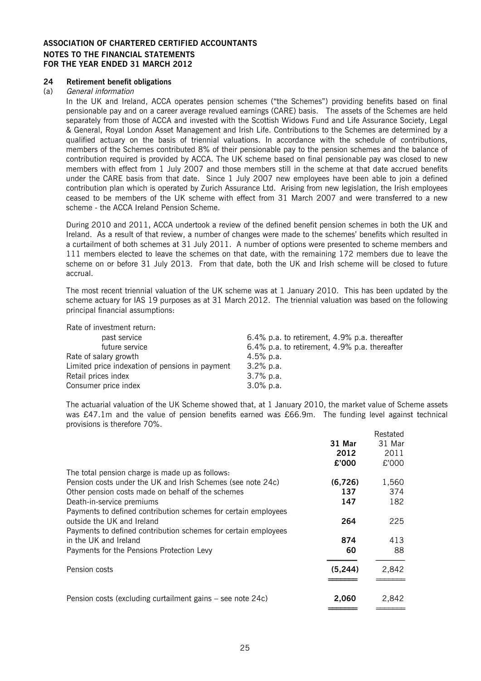#### **24 Retirement benefit obligations**

#### (a) General information

In the UK and Ireland, ACCA operates pension schemes ("the Schemes") providing benefits based on final pensionable pay and on a career average revalued earnings (CARE) basis. The assets of the Schemes are held separately from those of ACCA and invested with the Scottish Widows Fund and Life Assurance Society, Legal & General, Royal London Asset Management and Irish Life. Contributions to the Schemes are determined by a qualified actuary on the basis of triennial valuations. In accordance with the schedule of contributions, members of the Schemes contributed 8% of their pensionable pay to the pension schemes and the balance of contribution required is provided by ACCA. The UK scheme based on final pensionable pay was closed to new members with effect from 1 July 2007 and those members still in the scheme at that date accrued benefits under the CARE basis from that date. Since 1 July 2007 new employees have been able to join a defined contribution plan which is operated by Zurich Assurance Ltd. Arising from new legislation, the Irish employees ceased to be members of the UK scheme with effect from 31 March 2007 and were transferred to a new scheme - the ACCA Ireland Pension Scheme.

During 2010 and 2011, ACCA undertook a review of the defined benefit pension schemes in both the UK and Ireland. As a result of that review, a number of changes were made to the schemes' benefits which resulted in a curtailment of both schemes at 31 July 2011. A number of options were presented to scheme members and 111 members elected to leave the schemes on that date, with the remaining 172 members due to leave the scheme on or before 31 July 2013. From that date, both the UK and Irish scheme will be closed to future accrual.

The most recent triennial valuation of the UK scheme was at 1 January 2010. This has been updated by the scheme actuary for IAS 19 purposes as at 31 March 2012. The triennial valuation was based on the following principal financial assumptions:

| Rate of investment return:                      |                                               |
|-------------------------------------------------|-----------------------------------------------|
| past service                                    | 6.4% p.a. to retirement, 4.9% p.a. thereafter |
| future service                                  | 6.4% p.a. to retirement, 4.9% p.a. thereafter |
| Rate of salary growth                           | 4.5% p.a.                                     |
| Limited price indexation of pensions in payment | $3.2\%$ p.a.                                  |
| Retail prices index                             | $3.7\%$ p.a.                                  |
| Consumer price index                            | $3.0\%$ p.a.                                  |

The actuarial valuation of the UK Scheme showed that, at 1 January 2010, the market value of Scheme assets was £47.1m and the value of pension benefits earned was £66.9m. The funding level against technical provisions is therefore 70%. Restated

|                                                                |          | Restated |
|----------------------------------------------------------------|----------|----------|
|                                                                | 31 Mar   | 31 Mar   |
|                                                                | 2012     | 2011     |
|                                                                | £'000    | £'000    |
| The total pension charge is made up as follows:                |          |          |
| Pension costs under the UK and Irish Schemes (see note 24c)    | (6,726)  | 1,560    |
| Other pension costs made on behalf of the schemes              | 137      | 374      |
| Death-in-service premiums                                      | 147      | 182      |
| Payments to defined contribution schemes for certain employees |          |          |
| outside the UK and Ireland                                     | 264      | 225      |
| Payments to defined contribution schemes for certain employees |          |          |
| in the UK and Ireland                                          | 874      | 413      |
| Payments for the Pensions Protection Levy                      | 60       | 88       |
|                                                                |          |          |
| Pension costs                                                  | (5, 244) | 2,842    |
|                                                                |          |          |
| Pension costs (excluding curtailment gains – see note 24c)     | 2,060    | 2,842    |
|                                                                |          |          |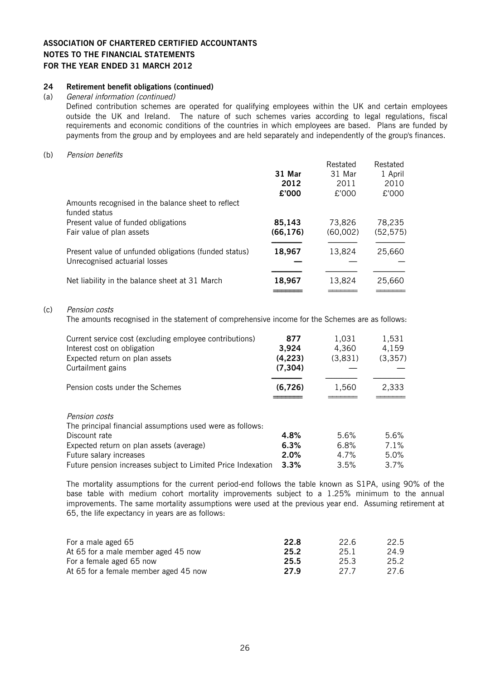#### **24 Retirement benefit obligations (continued)**

#### (a) General information (continued)

Defined contribution schemes are operated for qualifying employees within the UK and certain employees outside the UK and Ireland. The nature of such schemes varies according to legal regulations, fiscal requirements and economic conditions of the countries in which employees are based. Plans are funded by payments from the group and by employees and are held separately and independently of the group's finances.

#### (b) Pension benefits

| 31 Mar              | Restated<br>31 Mar | Restated<br>1 April |
|---------------------|--------------------|---------------------|
| 2012<br>£'000       | 2011<br>£'000      | 2010<br>£'000       |
|                     |                    |                     |
| 85,143<br>(66, 176) | 73,826<br>(60,002) | 78,235<br>(52, 575) |
| 18,967              | 13,824             | 25,660              |
| 18,967              | 13,824             | 25,660              |
|                     |                    |                     |

#### (c) Pension costs

The amounts recognised in the statement of comprehensive income for the Schemes are as follows:

| Current service cost (excluding employee contributions)<br>Interest cost on obligation<br>Expected return on plan assets<br>Curtailment gains | 877<br>3.924<br>(4, 223)<br>(7, 304) | 1.031<br>4.360<br>(3,831) | 1,531<br>4,159<br>(3, 357) |
|-----------------------------------------------------------------------------------------------------------------------------------------------|--------------------------------------|---------------------------|----------------------------|
| Pension costs under the Schemes                                                                                                               | (6,726)                              | 1,560                     | 2,333                      |
| Pension costs<br>The principal financial assumptions used were as follows:<br>Discount rate                                                   | 4.8%                                 | 5.6%                      | 5.6%                       |
| Expected return on plan assets (average)                                                                                                      | 6.3%                                 | 6.8%                      | 7.1%                       |
| Future salary increases                                                                                                                       | 2.0%                                 | 4.7%                      | 5.0%                       |
| Future pension increases subject to Limited Price Indexation                                                                                  | 3.3%                                 | 3.5%                      | 3.7%                       |

The mortality assumptions for the current period-end follows the table known as S1PA, using 90% of the base table with medium cohort mortality improvements subject to a 1.25% minimum to the annual improvements. The same mortality assumptions were used at the previous year end. Assuming retirement at 65, the life expectancy in years are as follows:

| For a male aged 65                    | 22.8 | 22 G | 22.5 |
|---------------------------------------|------|------|------|
| At 65 for a male member aged 45 now   | 25.2 | 25.1 | 24.9 |
| For a female aged 65 now              | 25.5 | 25.3 | 25.2 |
| At 65 for a female member aged 45 now | 27.9 | 27.7 | 27.6 |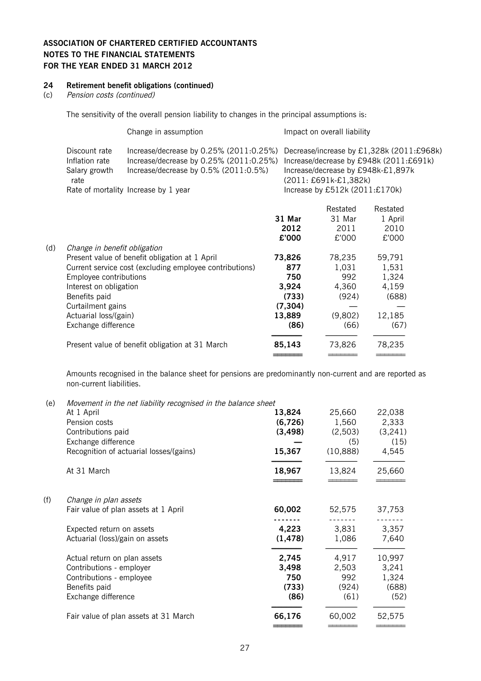### **24 Retirement benefit obligations (continued)**

#### (c) Pension costs (continued)

The sensitivity of the overall pension liability to changes in the principal assumptions is:

|                                                          | Change in assumption                                                                                                        |        | Impact on overall liability           |                                                                                                                            |
|----------------------------------------------------------|-----------------------------------------------------------------------------------------------------------------------------|--------|---------------------------------------|----------------------------------------------------------------------------------------------------------------------------|
| Discount rate<br>Inflation rate<br>Salary growth<br>rate | Increase/decrease by 0.25% (2011:0.25%)<br>Increase/decrease by 0.25% (2011:0.25%)<br>Increase/decrease by 0.5% (2011:0.5%) |        | (2011: £691k-£1,382k)                 | Decrease/increase by £1,328k (2011:£968k)<br>Increase/decrease by £948k (2011:£691k)<br>Increase/decrease by £948k-£1,897k |
|                                                          | Rate of mortality Increase by 1 year                                                                                        |        | Increase by £512 $k$ (2011:£170 $k$ ) |                                                                                                                            |
|                                                          |                                                                                                                             | 31 Mar | Restated<br>31 Mar                    | Restated<br>1 April                                                                                                        |

|     |                                                         | 2012     | 2011    | 2010   |
|-----|---------------------------------------------------------|----------|---------|--------|
|     |                                                         | £'000    | £'000   | £'000  |
| (d) | Change in benefit obligation                            |          |         |        |
|     | Present value of benefit obligation at 1 April          | 73,826   | 78,235  | 59,791 |
|     | Current service cost (excluding employee contributions) | 877      | 1,031   | 1,531  |
|     | Employee contributions                                  | 750      | 992     | 1,324  |
|     | Interest on obligation                                  | 3,924    | 4,360   | 4,159  |
|     | Benefits paid                                           | (733)    | (924)   | (688)  |
|     | Curtailment gains                                       | (7, 304) |         |        |
|     | Actuarial loss/(gain)                                   | 13,889   | (9,802) | 12,185 |
|     | Exchange difference                                     | (86)     | (66)    | (67)   |
|     | Present value of benefit obligation at 31 March         | 85,143   | 73.826  | 78,235 |
|     |                                                         |          |         |        |

Amounts recognised in the balance sheet for pensions are predominantly non-current and are reported as non-current liabilities.

(e) Movement in the net liability recognised in the balance sheet

|     | remement in the net maximity recepting and in the parametersheet<br>At 1 April | 13,824   | 25,660    | 22,038  |
|-----|--------------------------------------------------------------------------------|----------|-----------|---------|
|     | Pension costs                                                                  | (6,726)  | 1,560     | 2,333   |
|     | Contributions paid                                                             | (3, 498) | (2,503)   | (3,241) |
|     | Exchange difference                                                            |          | (5)       | (15)    |
|     | Recognition of actuarial losses/(gains)                                        | 15,367   | (10, 888) | 4,545   |
|     | At 31 March                                                                    | 18,967   | 13,824    | 25,660  |
| (f) | Change in plan assets                                                          |          |           |         |
|     | Fair value of plan assets at 1 April                                           | 60,002   | 52,575    | 37,753  |
|     | Expected return on assets                                                      | 4,223    | 3,831     | 3,357   |
|     | Actuarial (loss)/gain on assets                                                | (1, 478) | 1,086     | 7,640   |
|     | Actual return on plan assets                                                   | 2,745    | 4,917     | 10,997  |
|     | Contributions - employer                                                       | 3,498    | 2,503     | 3,241   |
|     | Contributions - employee                                                       | 750      | 992       | 1,324   |
|     | Benefits paid                                                                  | (733)    | (924)     | (688)   |
|     | Exchange difference                                                            | (86)     | (61)      | (52)    |
|     | Fair value of plan assets at 31 March                                          | 66,176   | 60,002    | 52,575  |
|     |                                                                                |          |           |         |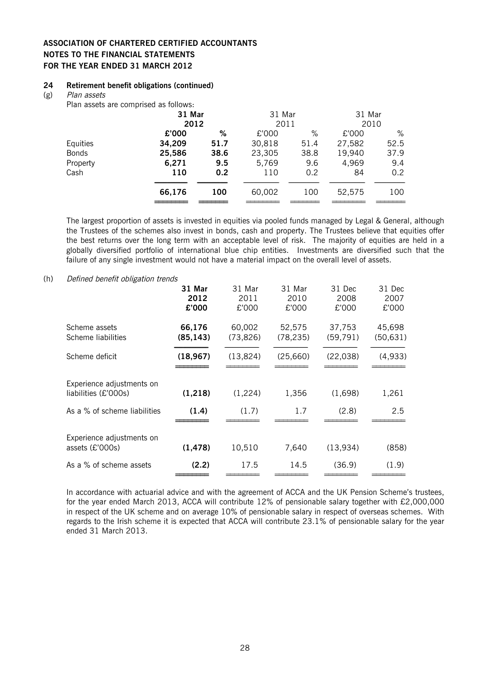#### **24 Retirement benefit obligations (continued)**

(g) Plan assets

Plan assets are comprised as follows:

|              | r iail abboto are comprised as follows. |      |        |      |        |      |
|--------------|-----------------------------------------|------|--------|------|--------|------|
|              | 31 Mar                                  |      | 31 Mar |      | 31 Mar |      |
|              |                                         | 2012 |        | 2011 | 2010   |      |
|              | £'000                                   | %    | £'000  | $\%$ | £'000  | %    |
| Equities     | 34,209                                  | 51.7 | 30,818 | 51.4 | 27,582 | 52.5 |
| <b>Bonds</b> | 25,586                                  | 38.6 | 23,305 | 38.8 | 19,940 | 37.9 |
| Property     | 6,271                                   | 9.5  | 5,769  | 9.6  | 4,969  | 9.4  |
| Cash         | 110                                     | 0.2  | 110    | 0.2  | 84     | 0.2  |
|              | 66,176                                  | 100  | 60,002 | 100  | 52,575 | 100  |
|              |                                         |      |        |      |        |      |

The largest proportion of assets is invested in equities via pooled funds managed by Legal & General, although the Trustees of the schemes also invest in bonds, cash and property. The Trustees believe that equities offer the best returns over the long term with an acceptable level of risk. The majority of equities are held in a globally diversified portfolio of international blue chip entities. Investments are diversified such that the failure of any single investment would not have a material impact on the overall level of assets.

#### (h) Defined benefit obligation trends

|                                                   | 31 Mar<br>2012<br>£'000 | 31 Mar<br>2011<br>£'000 | 31 Mar<br>2010<br>£'000 | 31 Dec<br>2008<br>£'000 | 31 Dec<br>2007<br>£'000 |
|---------------------------------------------------|-------------------------|-------------------------|-------------------------|-------------------------|-------------------------|
| Scheme assets<br>Scheme liabilities               | 66,176<br>(85, 143)     | 60,002<br>(73, 826)     | 52,575<br>(78, 235)     | 37,753<br>(59, 791)     | 45,698<br>(50, 631)     |
| Scheme deficit                                    | (18, 967)               | (13, 824)               | (25,660)                | (22, 038)               | (4,933)                 |
| Experience adjustments on<br>liabilities (£'000s) | (1, 218)                | (1,224)                 | 1,356                   | (1,698)                 | 1,261                   |
| As a % of scheme liabilities                      | (1.4)                   | (1.7)                   | 1.7                     | (2.8)                   | 2.5                     |
| Experience adjustments on<br>assets (£'000s)      | (1, 478)                | 10,510                  | 7,640                   | (13, 934)               | (858)                   |
| As a % of scheme assets                           | (2.2)                   | 17.5                    | 14.5                    | (36.9)                  | (1.9)                   |

In accordance with actuarial advice and with the agreement of ACCA and the UK Pension Scheme's trustees, for the year ended March 2013, ACCA will contribute 12% of pensionable salary together with £2,000,000 in respect of the UK scheme and on average 10% of pensionable salary in respect of overseas schemes. With regards to the Irish scheme it is expected that ACCA will contribute 23.1% of pensionable salary for the year ended 31 March 2013.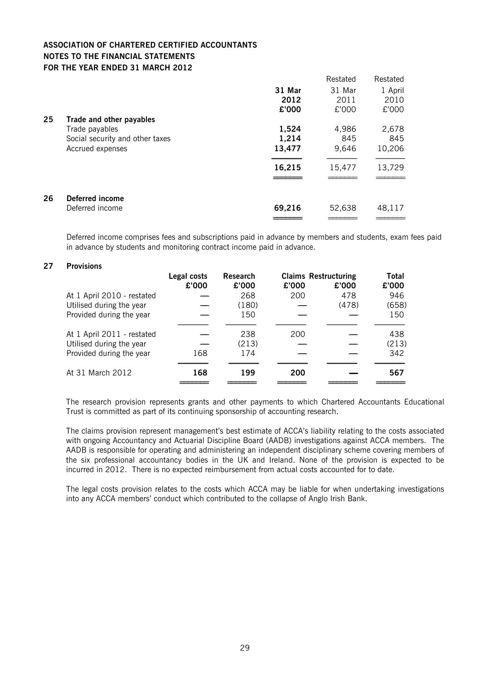|    |                                 |        | Restated | Restated |
|----|---------------------------------|--------|----------|----------|
|    |                                 | 31 Mar | 31 Mar   | 1 April  |
|    |                                 | 2012   | 2011     | 2010     |
|    |                                 | £'000  | £'000    | £'000    |
| 25 | Trade and other payables        |        |          |          |
|    | Trade payables                  | 1,524  | 4,986    | 2,678    |
|    | Social security and other taxes | 1,214  | 845      | 845      |
|    | Accrued expenses                | 13,477 | 9,646    | 10,206   |
|    |                                 | 16,215 | 15,477   | 13,729   |
|    |                                 |        |          |          |
| 26 | Deferred income                 |        |          |          |
|    | Deferred income                 | 69,216 | 52,638   | 48,117   |
|    |                                 |        |          |          |

Deferred income comprises fees and subscriptions paid in advance by members and students, exam fees paid in advance by students and monitoring contract income paid in advance.

#### **27 Provisions**

|                            | Legal costs<br>£'000 | <b>Research</b><br>£'000 | £'000 | <b>Claims Restructuring</b><br>£'000 | Total<br>£'000 |
|----------------------------|----------------------|--------------------------|-------|--------------------------------------|----------------|
| At 1 April 2010 - restated |                      | 268                      | 200   | 478                                  | 946            |
| Utilised during the year   |                      | (180)                    |       | (478)                                | (658)          |
| Provided during the year   |                      | 150                      |       |                                      | 150            |
|                            |                      |                          |       |                                      |                |
| At 1 April 2011 - restated |                      | 238                      | 200   |                                      | 438            |
| Utilised during the year   |                      | (213)                    |       |                                      | (213)          |
| Provided during the year   | 168                  | 174                      |       |                                      | 342            |
| At 31 March 2012           | 168                  | 199                      | 200   |                                      | 567            |
|                            |                      |                          |       |                                      |                |

The research provision represents grants and other payments to which Chartered Accountants Educational Trust is committed as part of its continuing sponsorship of accounting research.

The claims provision represent management's best estimate of ACCA's liability relating to the costs associated with ongoing Accountancy and Actuarial Discipline Board (AADB) investigations against ACCA members. The AADB is responsible for operating and administering an independent disciplinary scheme covering members of the six professional accountancy bodies in the UK and Ireland. None of the provision is expected to be incurred in 2012. There is no expected reimbursement from actual costs accounted for to date.

The legal costs provision relates to the costs which ACCA may be liable for when undertaking investigations into any ACCA members' conduct which contributed to the collapse of Anglo Irish Bank.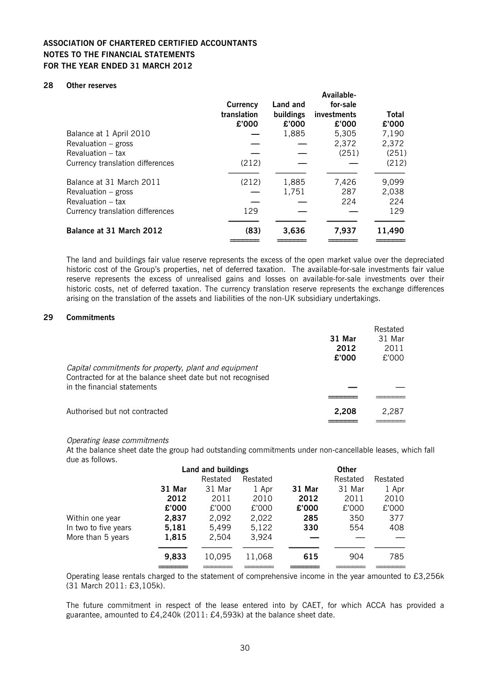#### **28 Other reserves**

|                                  | <b>Currency</b><br>translation<br>£'000 | Land and<br>buildings<br>£'000 | Available-<br>for-sale<br>investments<br>£'000 | Total<br>£'000 |
|----------------------------------|-----------------------------------------|--------------------------------|------------------------------------------------|----------------|
| Balance at 1 April 2010          |                                         | 1,885                          | 5.305                                          | 7,190          |
| Revaluation $-$ gross            |                                         |                                | 2,372                                          | 2,372          |
| Revaluation – tax                |                                         |                                | (251)                                          | (251)          |
| Currency translation differences | (212)                                   |                                |                                                | (212)          |
| Balance at 31 March 2011         | (212)                                   | 1,885                          | 7,426                                          | 9,099          |
| Revaluation $-$ gross            |                                         | 1,751                          | 287                                            | 2,038          |
| Revaluation – tax                |                                         |                                | 224                                            | 224            |
| Currency translation differences | 129                                     |                                |                                                | 129            |
| Balance at 31 March 2012         | (83)                                    | 3,636                          | 7,937                                          | 11,490         |
|                                  |                                         |                                |                                                |                |

The land and buildings fair value reserve represents the excess of the open market value over the depreciated historic cost of the Group's properties, net of deferred taxation. The available-for-sale investments fair value reserve represents the excess of unrealised gains and losses on available-for-sale investments over their historic costs, net of deferred taxation. The currency translation reserve represents the exchange differences arising on the translation of the assets and liabilities of the non-UK subsidiary undertakings.

#### **29 Commitments**

|                                                                                                                      |        | Restated |
|----------------------------------------------------------------------------------------------------------------------|--------|----------|
|                                                                                                                      | 31 Mar | 31 Mar   |
|                                                                                                                      | 2012   | 2011     |
|                                                                                                                      | £'000  | £'000    |
| Capital commitments for property, plant and equipment<br>Contracted for at the balance sheet date but not recognised |        |          |
| in the financial statements                                                                                          |        |          |
|                                                                                                                      |        |          |
| Authorised but not contracted                                                                                        | 2,208  | 2.287    |
|                                                                                                                      |        |          |

#### Operating lease commitments

At the balance sheet date the group had outstanding commitments under non-cancellable leases, which fall due as follows.

|                      | <b>Land and buildings</b> |          |          |        |          |          |
|----------------------|---------------------------|----------|----------|--------|----------|----------|
|                      |                           | Restated | Restated |        | Restated | Restated |
|                      | 31 Mar                    | 31 Mar   | 1 Apr    | 31 Mar | 31 Mar   | 1 Apr    |
|                      | 2012                      | 2011     | 2010     | 2012   | 2011     | 2010     |
|                      | £'000                     | £'000    | £'000    | £'000  | £'000    | £'000    |
| Within one year      | 2,837                     | 2,092    | 2,022    | 285    | 350      | 377      |
| In two to five years | 5,181                     | 5,499    | 5,122    | 330    | 554      | 408      |
| More than 5 years    | 1,815                     | 2.504    | 3,924    |        |          |          |
|                      | 9,833                     | 10,095   | 11,068   | 615    | 904      | 785      |
|                      |                           |          |          |        |          |          |

Operating lease rentals charged to the statement of comprehensive income in the year amounted to £3,256k (31 March 2011: £3,105k).

The future commitment in respect of the lease entered into by CAET, for which ACCA has provided a guarantee, amounted to £4,240k (2011: £4,593k) at the balance sheet date.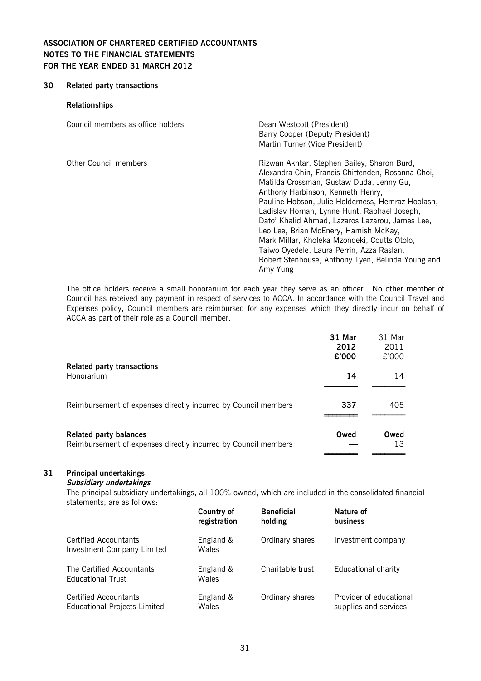#### **30 Related party transactions**

#### **Relationships**

| Council members as office holders | Dean Westcott (President)<br>Barry Cooper (Deputy President)<br>Martin Turner (Vice President)                                                                                                                                                                                                                                                                                                                                                                                                                                                   |
|-----------------------------------|--------------------------------------------------------------------------------------------------------------------------------------------------------------------------------------------------------------------------------------------------------------------------------------------------------------------------------------------------------------------------------------------------------------------------------------------------------------------------------------------------------------------------------------------------|
| Other Council members             | Rizwan Akhtar, Stephen Bailey, Sharon Burd,<br>Alexandra Chin, Francis Chittenden, Rosanna Choi,<br>Matilda Crossman, Gustaw Duda, Jenny Gu,<br>Anthony Harbinson, Kenneth Henry,<br>Pauline Hobson, Julie Holderness, Hemraz Hoolash,<br>Ladislav Hornan, Lynne Hunt, Raphael Joseph,<br>Dato' Khalid Ahmad, Lazaros Lazarou, James Lee,<br>Leo Lee, Brian McEnery, Hamish McKay,<br>Mark Millar, Kholeka Mzondeki, Coutts Otolo,<br>Taiwo Oyedele, Laura Perrin, Azza Raslan,<br>Robert Stenhouse, Anthony Tyen, Belinda Young and<br>Amy Yung |

The office holders receive a small honorarium for each year they serve as an officer. No other member of Council has received any payment in respect of services to ACCA. In accordance with the Council Travel and Expenses policy, Council members are reimbursed for any expenses which they directly incur on behalf of ACCA as part of their role as a Council member.

|                                                                                                 | 31 Mar<br>2012<br>£'000 | 31 Mar<br>2011<br>£'000 |
|-------------------------------------------------------------------------------------------------|-------------------------|-------------------------|
| <b>Related party transactions</b><br>Honorarium                                                 | 14                      | 14                      |
| Reimbursement of expenses directly incurred by Council members                                  | 337                     | 405                     |
| <b>Related party balances</b><br>Reimbursement of expenses directly incurred by Council members | Owed                    | Owed<br>13              |

### **31 Principal undertakings**

### **Subsidiary undertakings**

The principal subsidiary undertakings, all 100% owned, which are included in the consolidated financial statements, are as follows:

|                                                            | <b>Country of</b>         | <b>Beneficial</b> | Nature of               |
|------------------------------------------------------------|---------------------------|-------------------|-------------------------|
|                                                            | registration              | holding           | <b>business</b>         |
| <b>Certified Accountants</b><br>Investment Company Limited | England &<br><b>Wales</b> | Ordinary shares   | Investment company      |
| The Certified Accountants<br><b>Educational Trust</b>      | England &<br>Wales        | Charitable trust  | Educational charity     |
| Certified Accountants                                      | England &                 | Ordinary shares   | Provider of educational |
| <b>Educational Projects Limited</b>                        | Wales                     |                   | supplies and services   |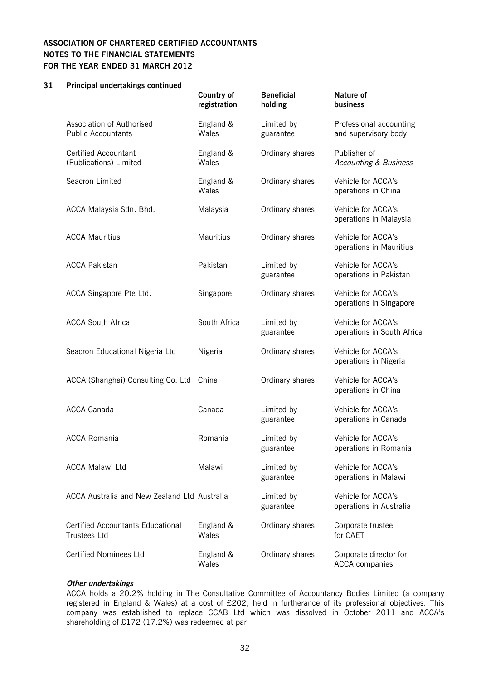#### **31 Principal undertakings continued**

|                                                                 | Country of<br>registration | <b>Beneficial</b><br>holding | <b>Nature of</b><br>business                     |
|-----------------------------------------------------------------|----------------------------|------------------------------|--------------------------------------------------|
| Association of Authorised<br><b>Public Accountants</b>          | England &<br>Wales         | Limited by<br>guarantee      | Professional accounting<br>and supervisory body  |
| <b>Certified Accountant</b><br>(Publications) Limited           | England &<br>Wales         | Ordinary shares              | Publisher of<br><b>Accounting &amp; Business</b> |
| Seacron Limited                                                 | England &<br>Wales         | Ordinary shares              | Vehicle for ACCA's<br>operations in China        |
| ACCA Malaysia Sdn. Bhd.                                         | Malaysia                   | Ordinary shares              | Vehicle for ACCA's<br>operations in Malaysia     |
| <b>ACCA Mauritius</b>                                           | <b>Mauritius</b>           | Ordinary shares              | Vehicle for ACCA's<br>operations in Mauritius    |
| <b>ACCA Pakistan</b>                                            | Pakistan                   | Limited by<br>guarantee      | Vehicle for ACCA's<br>operations in Pakistan     |
| ACCA Singapore Pte Ltd.                                         | Singapore                  | Ordinary shares              | Vehicle for ACCA's<br>operations in Singapore    |
| <b>ACCA South Africa</b>                                        | South Africa               | Limited by<br>guarantee      | Vehicle for ACCA's<br>operations in South Africa |
| Seacron Educational Nigeria Ltd                                 | Nigeria                    | Ordinary shares              | Vehicle for ACCA's<br>operations in Nigeria      |
| ACCA (Shanghai) Consulting Co. Ltd                              | China                      | Ordinary shares              | Vehicle for ACCA's<br>operations in China        |
| <b>ACCA Canada</b>                                              | Canada                     | Limited by<br>guarantee      | Vehicle for ACCA's<br>operations in Canada       |
| <b>ACCA Romania</b>                                             | Romania                    | Limited by<br>guarantee      | Vehicle for ACCA's<br>operations in Romania      |
| <b>ACCA Malawi Ltd</b>                                          | Malawi                     | Limited by<br>guarantee      | Vehicle for ACCA's<br>operations in Malawi       |
| ACCA Australia and New Zealand Ltd Australia                    |                            | Limited by<br>guarantee      | Vehicle for ACCA's<br>operations in Australia    |
| <b>Certified Accountants Educational</b><br><b>Trustees Ltd</b> | England &<br>Wales         | Ordinary shares              | Corporate trustee<br>for CAET                    |
| <b>Certified Nominees Ltd</b>                                   | England &<br>Wales         | Ordinary shares              | Corporate director for<br><b>ACCA</b> companies  |

#### **Other undertakings**

ACCA holds a 20.2% holding in The Consultative Committee of Accountancy Bodies Limited (a company registered in England & Wales) at a cost of £202, held in furtherance of its professional objectives. This company was established to replace CCAB Ltd which was dissolved in October 2011 and ACCA's shareholding of £172 (17.2%) was redeemed at par.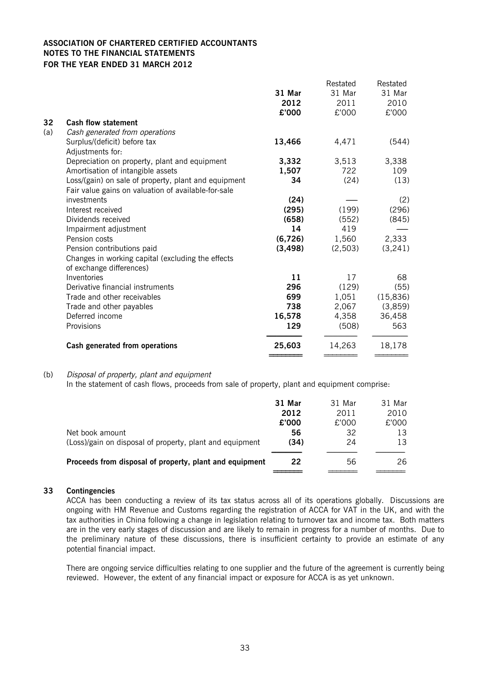|     |                                                      |          | Restated | Restated  |
|-----|------------------------------------------------------|----------|----------|-----------|
|     |                                                      | 31 Mar   | 31 Mar   | 31 Mar    |
|     |                                                      | 2012     | 2011     | 2010      |
|     |                                                      | £'000    | £'000    | £'000     |
| 32  | <b>Cash flow statement</b>                           |          |          |           |
| (a) | Cash generated from operations                       |          |          |           |
|     | Surplus/(deficit) before tax                         | 13,466   | 4,471    | (544)     |
|     | Adjustments for:                                     |          |          |           |
|     | Depreciation on property, plant and equipment        | 3,332    | 3,513    | 3,338     |
|     | Amortisation of intangible assets                    | 1,507    | 722      | 109       |
|     | Loss/(gain) on sale of property, plant and equipment | 34       | (24)     | (13)      |
|     | Fair value gains on valuation of available-for-sale  |          |          |           |
|     | investments                                          | (24)     |          | (2)       |
|     | Interest received                                    | (295)    | (199)    | (296)     |
|     | Dividends received                                   | (658)    | (552)    | (845)     |
|     | Impairment adjustment                                | 14       | 419      |           |
|     | Pension costs                                        | (6,726)  | 1,560    | 2,333     |
|     | Pension contributions paid                           | (3, 498) | (2,503)  | (3,241)   |
|     | Changes in working capital (excluding the effects    |          |          |           |
|     | of exchange differences)                             |          |          |           |
|     | Inventories                                          | 11       | 17       | 68        |
|     | Derivative financial instruments                     | 296      | (129)    | (55)      |
|     | Trade and other receivables                          | 699      | 1,051    | (15, 836) |
|     | Trade and other payables                             | 738      | 2,067    | (3,859)   |
|     | Deferred income                                      | 16,578   | 4,358    | 36,458    |
|     | Provisions                                           | 129      | (508)    | 563       |
|     | Cash generated from operations                       | 25,603   | 14,263   | 18,178    |
|     |                                                      |          |          |           |

#### (b) Disposal of property, plant and equipment

In the statement of cash flows, proceeds from sale of property, plant and equipment comprise:

|                                                          | 31 Mar | 31 Mar | 31 Mar |
|----------------------------------------------------------|--------|--------|--------|
|                                                          | 2012   | 2011   | 2010   |
|                                                          | £'000  | £'000  | £'000  |
| Net book amount                                          | 56     | 32     | 13     |
| (Loss)/gain on disposal of property, plant and equipment | (34)   | 24     | 13     |
| Proceeds from disposal of property, plant and equipment  | 22     | 56     | 26     |
|                                                          |        |        |        |

#### **33 Contingencies**

ACCA has been conducting a review of its tax status across all of its operations globally. Discussions are ongoing with HM Revenue and Customs regarding the registration of ACCA for VAT in the UK, and with the tax authorities in China following a change in legislation relating to turnover tax and income tax. Both matters are in the very early stages of discussion and are likely to remain in progress for a number of months. Due to the preliminary nature of these discussions, there is insufficient certainty to provide an estimate of any potential financial impact.

There are ongoing service difficulties relating to one supplier and the future of the agreement is currently being reviewed. However, the extent of any financial impact or exposure for ACCA is as yet unknown.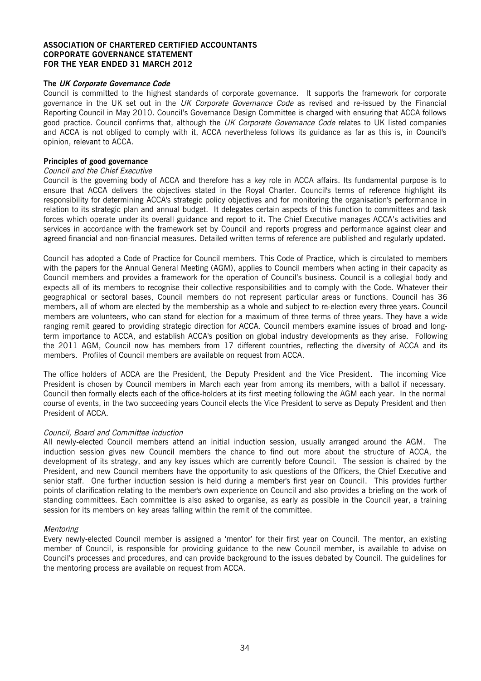#### **The UK Corporate Governance Code**

Council is committed to the highest standards of corporate governance. It supports the framework for corporate governance in the UK set out in the UK Corporate Governance Code as revised and re-issued by the Financial Reporting Council in May 2010. Council's Governance Design Committee is charged with ensuring that ACCA follows good practice. Council confirms that, although the UK Corporate Governance Code relates to UK listed companies and ACCA is not obliged to comply with it, ACCA nevertheless follows its guidance as far as this is, in Council's opinion, relevant to ACCA.

#### **Principles of good governance**

#### Council and the Chief Executive

Council is the governing body of ACCA and therefore has a key role in ACCA affairs. Its fundamental purpose is to ensure that ACCA delivers the objectives stated in the Royal Charter. Council's terms of reference highlight its responsibility for determining ACCA's strategic policy objectives and for monitoring the organisation's performance in relation to its strategic plan and annual budget. It delegates certain aspects of this function to committees and task forces which operate under its overall guidance and report to it. The Chief Executive manages ACCA's activities and services in accordance with the framework set by Council and reports progress and performance against clear and agreed financial and non-financial measures. Detailed written terms of reference are published and regularly updated.

Council has adopted a Code of Practice for Council members. This Code of Practice, which is circulated to members with the papers for the Annual General Meeting (AGM), applies to Council members when acting in their capacity as Council members and provides a framework for the operation of Council's business. Council is a collegial body and expects all of its members to recognise their collective responsibilities and to comply with the Code. Whatever their geographical or sectoral bases, Council members do not represent particular areas or functions. Council has 36 members, all of whom are elected by the membership as a whole and subject to re-election every three years. Council members are volunteers, who can stand for election for a maximum of three terms of three years. They have a wide ranging remit geared to providing strategic direction for ACCA. Council members examine issues of broad and longterm importance to ACCA, and establish ACCA's position on global industry developments as they arise. Following the 2011 AGM, Council now has members from 17 different countries, reflecting the diversity of ACCA and its members. Profiles of Council members are available on request from ACCA.

The office holders of ACCA are the President, the Deputy President and the Vice President. The incoming Vice President is chosen by Council members in March each year from among its members, with a ballot if necessary. Council then formally elects each of the office-holders at its first meeting following the AGM each year. In the normal course of events, in the two succeeding years Council elects the Vice President to serve as Deputy President and then President of ACCA.

#### Council, Board and Committee induction

All newly-elected Council members attend an initial induction session, usually arranged around the AGM. The induction session gives new Council members the chance to find out more about the structure of ACCA, the development of its strategy, and any key issues which are currently before Council. The session is chaired by the President, and new Council members have the opportunity to ask questions of the Officers, the Chief Executive and senior staff. One further induction session is held during a member's first year on Council. This provides further points of clarification relating to the member's own experience on Council and also provides a briefing on the work of standing committees. Each committee is also asked to organise, as early as possible in the Council year, a training session for its members on key areas falling within the remit of the committee.

#### Mentoring

Every newly-elected Council member is assigned a 'mentor' for their first year on Council. The mentor, an existing member of Council, is responsible for providing guidance to the new Council member, is available to advise on Council's processes and procedures, and can provide background to the issues debated by Council. The guidelines for the mentoring process are available on request from ACCA.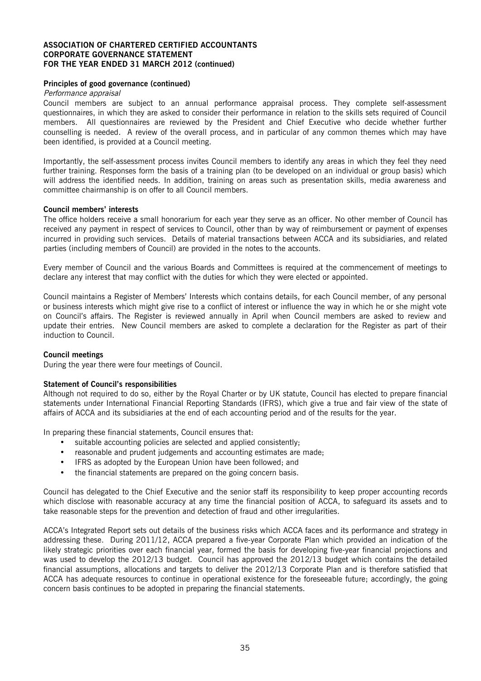#### **Principles of good governance (continued)**

#### Performance appraisal

Council members are subject to an annual performance appraisal process. They complete self-assessment questionnaires, in which they are asked to consider their performance in relation to the skills sets required of Council members. All questionnaires are reviewed by the President and Chief Executive who decide whether further counselling is needed. A review of the overall process, and in particular of any common themes which may have been identified, is provided at a Council meeting.

Importantly, the self-assessment process invites Council members to identify any areas in which they feel they need further training. Responses form the basis of a training plan (to be developed on an individual or group basis) which will address the identified needs. In addition, training on areas such as presentation skills, media awareness and committee chairmanship is on offer to all Council members.

#### **Council members' interests**

The office holders receive a small honorarium for each year they serve as an officer. No other member of Council has received any payment in respect of services to Council, other than by way of reimbursement or payment of expenses incurred in providing such services. Details of material transactions between ACCA and its subsidiaries, and related parties (including members of Council) are provided in the notes to the accounts.

Every member of Council and the various Boards and Committees is required at the commencement of meetings to declare any interest that may conflict with the duties for which they were elected or appointed.

Council maintains a Register of Members' Interests which contains details, for each Council member, of any personal or business interests which might give rise to a conflict of interest or influence the way in which he or she might vote on Council's affairs. The Register is reviewed annually in April when Council members are asked to review and update their entries. New Council members are asked to complete a declaration for the Register as part of their induction to Council.

#### **Council meetings**

During the year there were four meetings of Council.

#### **Statement of Council's responsibilities**

Although not required to do so, either by the Royal Charter or by UK statute, Council has elected to prepare financial statements under International Financial Reporting Standards (IFRS), which give a true and fair view of the state of affairs of ACCA and its subsidiaries at the end of each accounting period and of the results for the year.

In preparing these financial statements, Council ensures that:

- suitable accounting policies are selected and applied consistently;
- reasonable and prudent judgements and accounting estimates are made;
- IFRS as adopted by the European Union have been followed; and
- the financial statements are prepared on the going concern basis.

Council has delegated to the Chief Executive and the senior staff its responsibility to keep proper accounting records which disclose with reasonable accuracy at any time the financial position of ACCA, to safeguard its assets and to take reasonable steps for the prevention and detection of fraud and other irregularities.

ACCA's Integrated Report sets out details of the business risks which ACCA faces and its performance and strategy in addressing these. During 2011/12, ACCA prepared a five-year Corporate Plan which provided an indication of the likely strategic priorities over each financial year, formed the basis for developing five-year financial projections and was used to develop the 2012/13 budget. Council has approved the 2012/13 budget which contains the detailed financial assumptions, allocations and targets to deliver the 2012/13 Corporate Plan and is therefore satisfied that ACCA has adequate resources to continue in operational existence for the foreseeable future; accordingly, the going concern basis continues to be adopted in preparing the financial statements.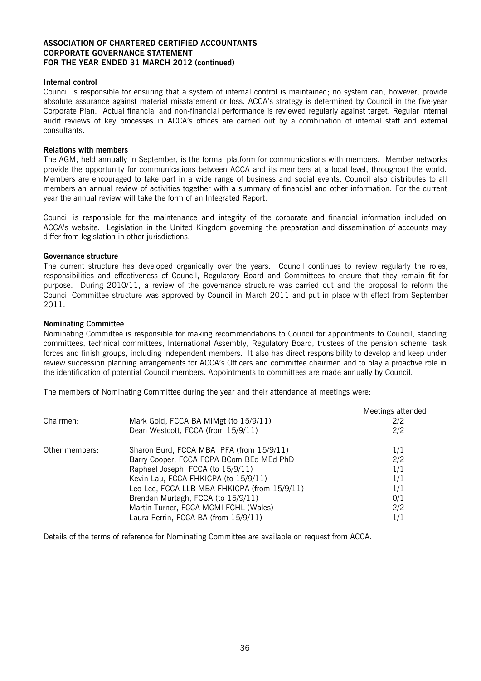#### **Internal control**

Council is responsible for ensuring that a system of internal control is maintained; no system can, however, provide absolute assurance against material misstatement or loss. ACCA's strategy is determined by Council in the five-year Corporate Plan. Actual financial and non-financial performance is reviewed regularly against target. Regular internal audit reviews of key processes in ACCA's offices are carried out by a combination of internal staff and external consultants.

#### **Relations with members**

The AGM, held annually in September, is the formal platform for communications with members. Member networks provide the opportunity for communications between ACCA and its members at a local level, throughout the world. Members are encouraged to take part in a wide range of business and social events. Council also distributes to all members an annual review of activities together with a summary of financial and other information. For the current year the annual review will take the form of an Integrated Report.

Council is responsible for the maintenance and integrity of the corporate and financial information included on ACCA's website. Legislation in the United Kingdom governing the preparation and dissemination of accounts may differ from legislation in other jurisdictions.

#### **Governance structure**

The current structure has developed organically over the years. Council continues to review regularly the roles, responsibilities and effectiveness of Council, Regulatory Board and Committees to ensure that they remain fit for purpose. During 2010/11, a review of the governance structure was carried out and the proposal to reform the Council Committee structure was approved by Council in March 2011 and put in place with effect from September 2011.

#### **Nominating Committee**

Nominating Committee is responsible for making recommendations to Council for appointments to Council, standing committees, technical committees, International Assembly, Regulatory Board, trustees of the pension scheme, task forces and finish groups, including independent members. It also has direct responsibility to develop and keep under review succession planning arrangements for ACCA's Officers and committee chairmen and to play a proactive role in the identification of potential Council members. Appointments to committees are made annually by Council.

The members of Nominating Committee during the year and their attendance at meetings were:

|                |                                              | Meetings attended |
|----------------|----------------------------------------------|-------------------|
| Chairmen:      | Mark Gold, FCCA BA MIMgt (to 15/9/11)        | 2/2               |
|                | Dean Westcott, FCCA (from 15/9/11)           | 2/2               |
| Other members: | Sharon Burd, FCCA MBA IPFA (from 15/9/11)    | 1/1               |
|                | Barry Cooper, FCCA FCPA BCom BEd MEd PhD     | 2/2               |
|                | Raphael Joseph, FCCA (to 15/9/11)            | 1/1               |
|                | Kevin Lau, FCCA FHKICPA (to 15/9/11)         | 1/1               |
|                | Leo Lee, FCCA LLB MBA FHKICPA (from 15/9/11) | 1/1               |
|                | Brendan Murtagh, FCCA (to 15/9/11)           | 0/1               |
|                | Martin Turner, FCCA MCMI FCHL (Wales)        | 2/2               |
|                | Laura Perrin, FCCA BA (from 15/9/11)         | 1/1               |

Details of the terms of reference for Nominating Committee are available on request from ACCA.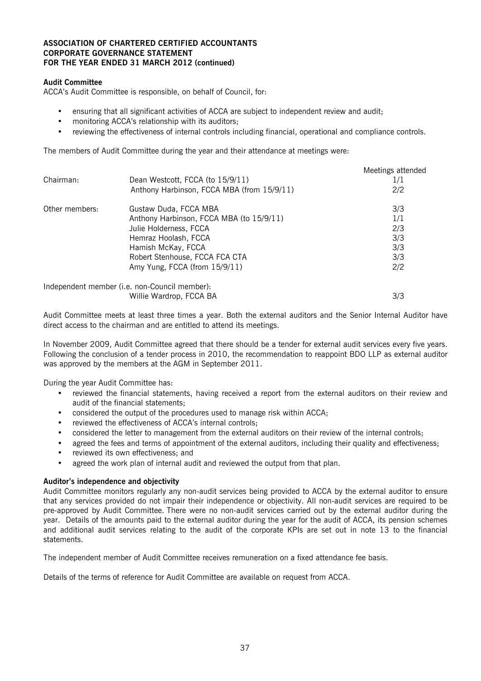#### **Audit Committee**

ACCA's Audit Committee is responsible, on behalf of Council, for:

- ensuring that all significant activities of ACCA are subject to independent review and audit;
- monitoring ACCA's relationship with its auditors;
- reviewing the effectiveness of internal controls including financial, operational and compliance controls.

The members of Audit Committee during the year and their attendance at meetings were:

|                |                                               | Meetings attended |
|----------------|-----------------------------------------------|-------------------|
| Chairman:      | Dean Westcott, FCCA (to 15/9/11)              | 1/1               |
|                | Anthony Harbinson, FCCA MBA (from 15/9/11)    | 2/2               |
| Other members: | Gustaw Duda, FCCA MBA                         | 3/3               |
|                | Anthony Harbinson, FCCA MBA (to 15/9/11)      | 1/1               |
|                | Julie Holderness, FCCA                        | 2/3               |
|                | Hemraz Hoolash, FCCA                          | 3/3               |
|                | Hamish McKay, FCCA                            | 3/3               |
|                | Robert Stenhouse, FCCA FCA CTA                | 3/3               |
|                | Amy Yung, FCCA (from 15/9/11)                 | 2/2               |
|                | Independent member (i.e. non-Council member): |                   |
|                | Willie Wardrop, FCCA BA                       | 3/3               |

Audit Committee meets at least three times a year. Both the external auditors and the Senior Internal Auditor have direct access to the chairman and are entitled to attend its meetings.

In November 2009, Audit Committee agreed that there should be a tender for external audit services every five years. Following the conclusion of a tender process in 2010, the recommendation to reappoint BDO LLP as external auditor was approved by the members at the AGM in September 2011.

During the year Audit Committee has:

- reviewed the financial statements, having received a report from the external auditors on their review and audit of the financial statements;
- considered the output of the procedures used to manage risk within ACCA;
- reviewed the effectiveness of ACCA's internal controls;
- considered the letter to management from the external auditors on their review of the internal controls;
- agreed the fees and terms of appointment of the external auditors, including their quality and effectiveness;
- reviewed its own effectiveness; and
- agreed the work plan of internal audit and reviewed the output from that plan.

#### **Auditor's independence and objectivity**

Audit Committee monitors regularly any non-audit services being provided to ACCA by the external auditor to ensure that any services provided do not impair their independence or objectivity. All non-audit services are required to be pre-approved by Audit Committee. There were no non-audit services carried out by the external auditor during the year. Details of the amounts paid to the external auditor during the year for the audit of ACCA, its pension schemes and additional audit services relating to the audit of the corporate KPIs are set out in note 13 to the financial statements.

The independent member of Audit Committee receives remuneration on a fixed attendance fee basis.

Details of the terms of reference for Audit Committee are available on request from ACCA.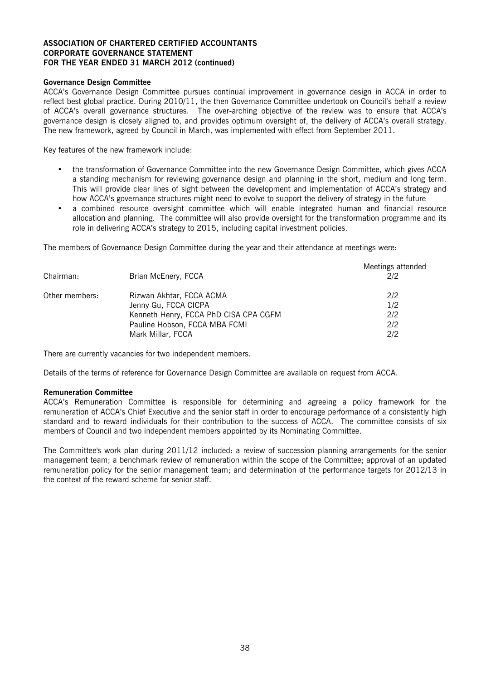#### **Governance Design Committee**

ACCA's Governance Design Committee pursues continual improvement in governance design in ACCA in order to reflect best global practice. During 2010/11, the then Governance Committee undertook on Council's behalf a review of ACCA's overall governance structures. The over-arching objective of the review was to ensure that ACCA's governance design is closely aligned to, and provides optimum oversight of, the delivery of ACCA's overall strategy. The new framework, agreed by Council in March, was implemented with effect from September 2011.

Key features of the new framework include:

- the transformation of Governance Committee into the new Governance Design Committee, which gives ACCA a standing mechanism for reviewing governance design and planning in the short, medium and long term. This will provide clear lines of sight between the development and implementation of ACCA's strategy and how ACCA's governance structures might need to evolve to support the delivery of strategy in the future
- a combined resource oversight committee which will enable integrated human and financial resource allocation and planning. The committee will also provide oversight for the transformation programme and its role in delivering ACCA's strategy to 2015, including capital investment policies.

The members of Governance Design Committee during the year and their attendance at meetings were:

| Chairman:      | Brian McEnery, FCCA                   | Meetings attended<br>2/2 |
|----------------|---------------------------------------|--------------------------|
| Other members: | Rizwan Akhtar, FCCA ACMA              | 2/2                      |
|                | Jenny Gu, FCCA CICPA                  | 1/2                      |
|                | Kenneth Henry, FCCA PhD CISA CPA CGFM | 2/2                      |
|                | Pauline Hobson, FCCA MBA FCMI         | 2/2                      |
|                | Mark Millar, FCCA                     | 2/2                      |

There are currently vacancies for two independent members.

Details of the terms of reference for Governance Design Committee are available on request from ACCA.

#### **Remuneration Committee**

ACCA's Remuneration Committee is responsible for determining and agreeing a policy framework for the remuneration of ACCA's Chief Executive and the senior staff in order to encourage performance of a consistently high standard and to reward individuals for their contribution to the success of ACCA. The committee consists of six members of Council and two independent members appointed by its Nominating Committee.

The Committee's work plan during 2011/12 included: a review of succession planning arrangements for the senior management team; a benchmark review of remuneration within the scope of the Committee; approval of an updated remuneration policy for the senior management team; and determination of the performance targets for 2012/13 in the context of the reward scheme for senior staff.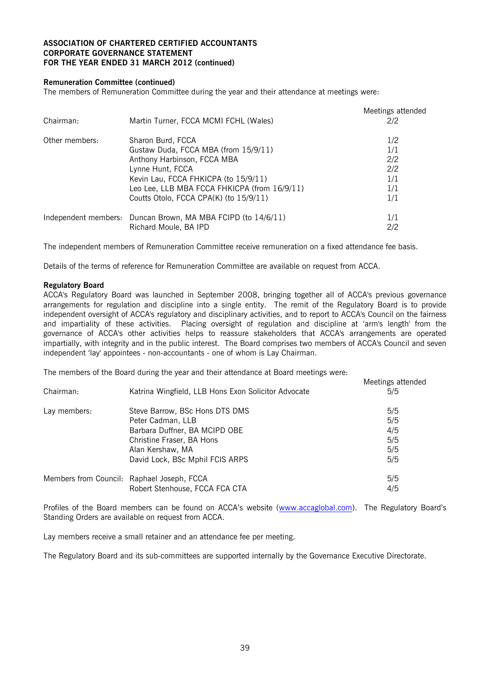#### **Remuneration Committee (continued)**

The members of Remuneration Committee during the year and their attendance at meetings were:

| Chairman:      | Martin Turner, FCCA MCMI FCHL (Wales)                        | Meetings attended<br>2/2 |
|----------------|--------------------------------------------------------------|--------------------------|
| Other members: | Sharon Burd, FCCA                                            | 1/2                      |
|                | Gustaw Duda, FCCA MBA (from 15/9/11)                         | 1/1                      |
|                | Anthony Harbinson, FCCA MBA                                  | 2/2                      |
|                | Lynne Hunt, FCCA                                             | 2/2                      |
|                | Kevin Lau, FCCA FHKICPA (to 15/9/11)                         | 1/1                      |
|                | Leo Lee, LLB MBA FCCA FHKICPA (from 16/9/11)                 | 1/1                      |
|                | Coutts Otolo, FCCA CPA(K) (to 15/9/11)                       | 1/1                      |
|                | Independent members: Duncan Brown, MA MBA FCIPD (to 14/6/11) | 1/1                      |
|                | Richard Moule, BA IPD                                        | 2/2                      |

The independent members of Remuneration Committee receive remuneration on a fixed attendance fee basis.

Details of the terms of reference for Remuneration Committee are available on request from ACCA.

#### **Regulatory Board**

ACCA's Regulatory Board was launched in September 2008, bringing together all of ACCA's previous governance arrangements for regulation and discipline into a single entity. The remit of the Regulatory Board is to provide independent oversight of ACCA's regulatory and disciplinary activities, and to report to ACCA's Council on the fairness and impartiality of these activities. Placing oversight of regulation and discipline at 'arm's length' from the governance of ACCA's other activities helps to reassure stakeholders that ACCA's arrangements are operated impartially, with integrity and in the public interest. The Board comprises two members of ACCA's Council and seven independent 'lay' appointees - non-accountants - one of whom is Lay Chairman.

Meetings attended

The members of the Board during the year and their attendance at Board meetings were:

|              |                                                     | <b>IVICCUILES</b> allended |
|--------------|-----------------------------------------------------|----------------------------|
| Chairman:    | Katrina Wingfield, LLB Hons Exon Solicitor Advocate | 5/5                        |
| Lay members: | Steve Barrow, BSc Hons DTS DMS                      | 5/5                        |
|              | Peter Cadman, LLB                                   | 5/5                        |
|              | Barbara Duffner, BA MCIPD OBE                       | 4/5                        |
|              | Christine Fraser, BA Hons                           | 5/5                        |
|              | Alan Kershaw, MA                                    | 5/5                        |
|              | David Lock, BSc Mphil FCIS ARPS                     | 5/5                        |
|              | Members from Council: Raphael Joseph, FCCA          | 5/5                        |
|              | Robert Stenhouse, FCCA FCA CTA                      | 4/5                        |
|              |                                                     |                            |

Profiles of the Board members can be found on ACCA's website (www.accaglobal.com). The Regulatory Board's Standing Orders are available on request from ACCA.

Lay members receive a small retainer and an attendance fee per meeting.

The Regulatory Board and its sub-committees are supported internally by the Governance Executive Directorate.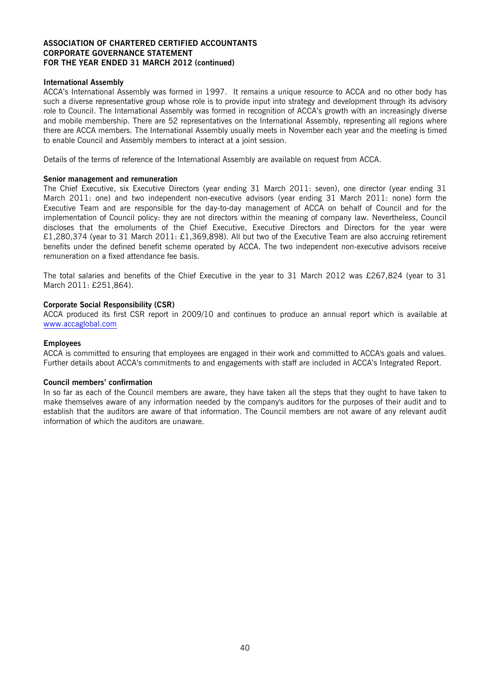#### **International Assembly**

ACCA's International Assembly was formed in 1997. It remains a unique resource to ACCA and no other body has such a diverse representative group whose role is to provide input into strategy and development through its advisory role to Council. The International Assembly was formed in recognition of ACCA's growth with an increasingly diverse and mobile membership. There are 52 representatives on the International Assembly, representing all regions where there are ACCA members. The International Assembly usually meets in November each year and the meeting is timed to enable Council and Assembly members to interact at a joint session.

Details of the terms of reference of the International Assembly are available on request from ACCA.

#### **Senior management and remuneration**

The Chief Executive, six Executive Directors (year ending 31 March 2011: seven), one director (year ending 31 March 2011: one) and two independent non-executive advisors (year ending 31 March 2011: none) form the Executive Team and are responsible for the day-to-day management of ACCA on behalf of Council and for the implementation of Council policy: they are not directors within the meaning of company law. Nevertheless, Council discloses that the emoluments of the Chief Executive, Executive Directors and Directors for the year were £1,280,374 (year to 31 March 2011: £1,369,898). All but two of the Executive Team are also accruing retirement benefits under the defined benefit scheme operated by ACCA. The two independent non-executive advisors receive remuneration on a fixed attendance fee basis.

The total salaries and benefits of the Chief Executive in the year to 31 March 2012 was £267,824 (year to 31 March 2011: £251,864).

#### **Corporate Social Responsibility (CSR)**

ACCA produced its first CSR report in 2009/10 and continues to produce an annual report which is available at www.accaglobal.com

#### **Employees**

ACCA is committed to ensuring that employees are engaged in their work and committed to ACCA's goals and values. Further details about ACCA's commitments to and engagements with staff are included in ACCA's Integrated Report.

#### **Council members' confirmation**

In so far as each of the Council members are aware, they have taken all the steps that they ought to have taken to make themselves aware of any information needed by the company's auditors for the purposes of their audit and to establish that the auditors are aware of that information. The Council members are not aware of any relevant audit information of which the auditors are unaware.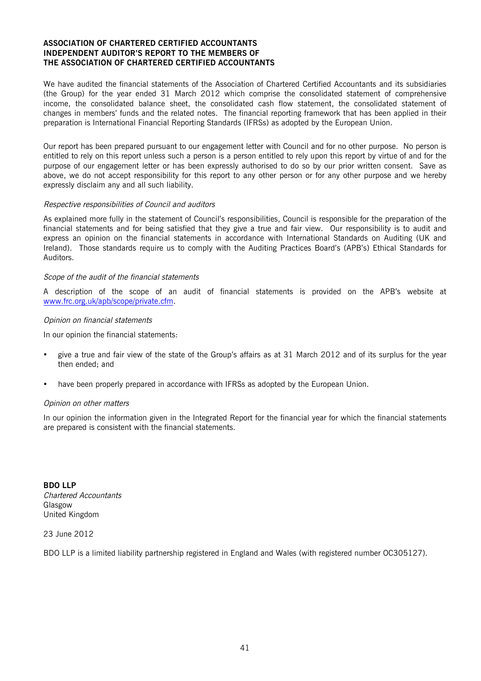#### **ASSOCIATION OF CHARTERED CERTIFIED ACCOUNTANTS INDEPENDENT AUDITOR'S REPORT TO THE MEMBERS OF THE ASSOCIATION OF CHARTERED CERTIFIED ACCOUNTANTS**

We have audited the financial statements of the Association of Chartered Certified Accountants and its subsidiaries (the Group) for the year ended 31 March 2012 which comprise the consolidated statement of comprehensive income, the consolidated balance sheet, the consolidated cash flow statement, the consolidated statement of changes in members' funds and the related notes. The financial reporting framework that has been applied in their preparation is International Financial Reporting Standards (IFRSs) as adopted by the European Union.

Our report has been prepared pursuant to our engagement letter with Council and for no other purpose. No person is entitled to rely on this report unless such a person is a person entitled to rely upon this report by virtue of and for the purpose of our engagement letter or has been expressly authorised to do so by our prior written consent. Save as above, we do not accept responsibility for this report to any other person or for any other purpose and we hereby expressly disclaim any and all such liability.

#### Respective responsibilities of Council and auditors

As explained more fully in the statement of Council's responsibilities, Council is responsible for the preparation of the financial statements and for being satisfied that they give a true and fair view. Our responsibility is to audit and express an opinion on the financial statements in accordance with International Standards on Auditing (UK and Ireland). Those standards require us to comply with the Auditing Practices Board's (APB's) Ethical Standards for Auditors.

#### Scope of the audit of the financial statements

A description of the scope of an audit of financial statements is provided on the APB's website at www.frc.org.uk/apb/scope/private.cfm.

#### Opinion on financial statements

In our opinion the financial statements:

- give a true and fair view of the state of the Group's affairs as at 31 March 2012 and of its surplus for the year then ended; and
- have been properly prepared in accordance with IFRSs as adopted by the European Union.

#### Opinion on other matters

In our opinion the information given in the Integrated Report for the financial year for which the financial statements are prepared is consistent with the financial statements.

**BDO LLP** Chartered Accountants Glasgow United Kingdom

23 June 2012

BDO LLP is a limited liability partnership registered in England and Wales (with registered number OC305127).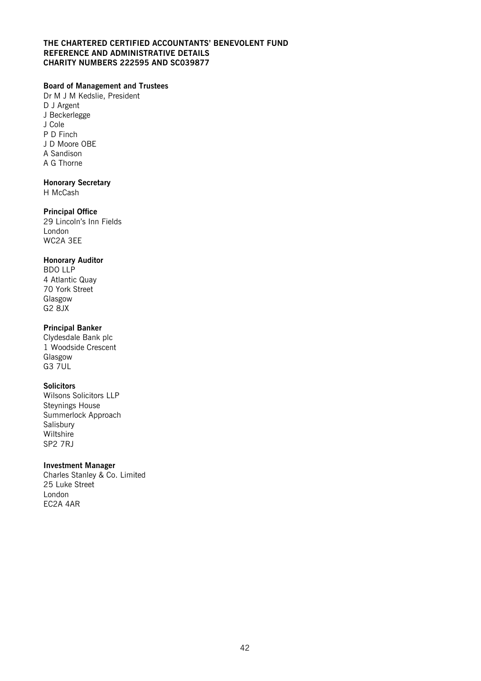#### **THE CHARTERED CERTIFIED ACCOUNTANTS' BENEVOLENT FUND REFERENCE AND ADMINISTRATIVE DETAILS CHARITY NUMBERS 222595 AND SC039877**

### **Board of Management and Trustees**

Dr M J M Kedslie, President D J Argent J Beckerlegge J Cole P D Finch J D Moore OBE A Sandison A G Thorne

### **Honorary Secretary**

H McCash

### **Principal Office**

29 Lincoln's Inn Fields London WC2A 3EE

### **Honorary Auditor**

BDO LLP 4 Atlantic Quay 70 York Street Glasgow G2 8JX

### **Principal Banker**

Clydesdale Bank plc 1 Woodside Crescent Glasgow G3 7UL

### **Solicitors**

Wilsons Solicitors LLP Steynings House Summerlock Approach Salisbury Wiltshire SP2 7RJ

### **Investment Manager**

Charles Stanley & Co. Limited 25 Luke Street London EC2A 4AR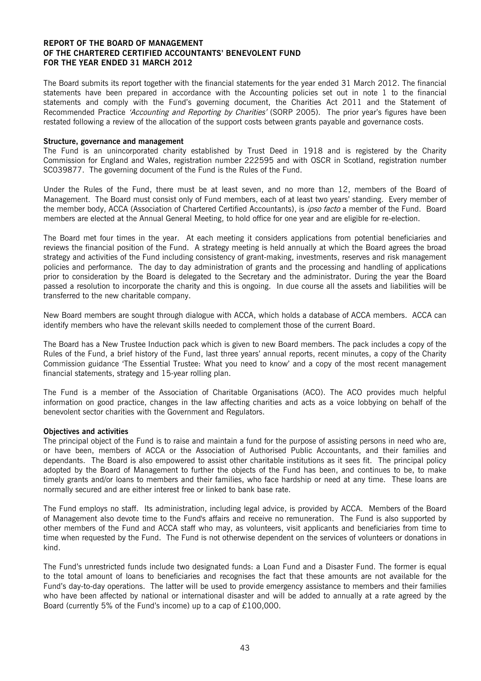The Board submits its report together with the financial statements for the year ended 31 March 2012. The financial statements have been prepared in accordance with the Accounting policies set out in note 1 to the financial statements and comply with the Fund's governing document, the Charities Act 2011 and the Statement of Recommended Practice 'Accounting and Reporting by Charities' (SORP 2005). The prior year's figures have been restated following a review of the allocation of the support costs between grants payable and governance costs.

#### **Structure, governance and management**

The Fund is an unincorporated charity established by Trust Deed in 1918 and is registered by the Charity Commission for England and Wales, registration number 222595 and with OSCR in Scotland, registration number SC039877. The governing document of the Fund is the Rules of the Fund.

Under the Rules of the Fund, there must be at least seven, and no more than 12, members of the Board of Management. The Board must consist only of Fund members, each of at least two years' standing. Every member of the member body, ACCA (Association of Chartered Certified Accountants), is *ipso facto* a member of the Fund. Board members are elected at the Annual General Meeting, to hold office for one year and are eligible for re-election.

The Board met four times in the year. At each meeting it considers applications from potential beneficiaries and reviews the financial position of the Fund. A strategy meeting is held annually at which the Board agrees the broad strategy and activities of the Fund including consistency of grant-making, investments, reserves and risk management policies and performance. The day to day administration of grants and the processing and handling of applications prior to consideration by the Board is delegated to the Secretary and the administrator. During the year the Board passed a resolution to incorporate the charity and this is ongoing. In due course all the assets and liabilities will be transferred to the new charitable company.

New Board members are sought through dialogue with ACCA, which holds a database of ACCA members. ACCA can identify members who have the relevant skills needed to complement those of the current Board.

The Board has a New Trustee Induction pack which is given to new Board members. The pack includes a copy of the Rules of the Fund, a brief history of the Fund, last three years' annual reports, recent minutes, a copy of the Charity Commission guidance 'The Essential Trustee: What you need to know' and a copy of the most recent management financial statements, strategy and 15-year rolling plan.

The Fund is a member of the Association of Charitable Organisations (ACO). The ACO provides much helpful information on good practice, changes in the law affecting charities and acts as a voice lobbying on behalf of the benevolent sector charities with the Government and Regulators.

#### **Objectives and activities**

The principal object of the Fund is to raise and maintain a fund for the purpose of assisting persons in need who are, or have been, members of ACCA or the Association of Authorised Public Accountants, and their families and dependants. The Board is also empowered to assist other charitable institutions as it sees fit. The principal policy adopted by the Board of Management to further the objects of the Fund has been, and continues to be, to make timely grants and/or loans to members and their families, who face hardship or need at any time. These loans are normally secured and are either interest free or linked to bank base rate.

The Fund employs no staff. Its administration, including legal advice, is provided by ACCA. Members of the Board of Management also devote time to the Fund's affairs and receive no remuneration. The Fund is also supported by other members of the Fund and ACCA staff who may, as volunteers, visit applicants and beneficiaries from time to time when requested by the Fund. The Fund is not otherwise dependent on the services of volunteers or donations in kind.

The Fund's unrestricted funds include two designated funds: a Loan Fund and a Disaster Fund. The former is equal to the total amount of loans to beneficiaries and recognises the fact that these amounts are not available for the Fund's day-to-day operations. The latter will be used to provide emergency assistance to members and their families who have been affected by national or international disaster and will be added to annually at a rate agreed by the Board (currently 5% of the Fund's income) up to a cap of £100,000.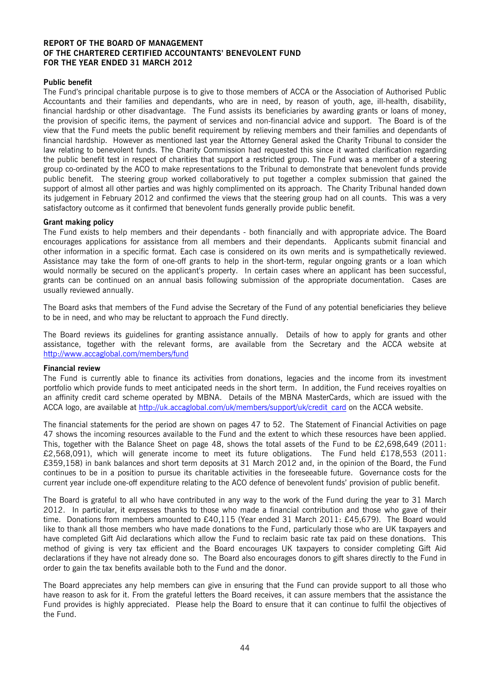#### **Public benefit**

The Fund's principal charitable purpose is to give to those members of ACCA or the Association of Authorised Public Accountants and their families and dependants, who are in need, by reason of youth, age, ill-health, disability, financial hardship or other disadvantage. The Fund assists its beneficiaries by awarding grants or loans of money, the provision of specific items, the payment of services and non-financial advice and support. The Board is of the view that the Fund meets the public benefit requirement by relieving members and their families and dependants of financial hardship. However as mentioned last year the Attorney General asked the Charity Tribunal to consider the law relating to benevolent funds. The Charity Commission had requested this since it wanted clarification regarding the public benefit test in respect of charities that support a restricted group. The Fund was a member of a steering group co-ordinated by the ACO to make representations to the Tribunal to demonstrate that benevolent funds provide public benefit. The steering group worked collaboratively to put together a complex submission that gained the support of almost all other parties and was highly complimented on its approach. The Charity Tribunal handed down its judgement in February 2012 and confirmed the views that the steering group had on all counts. This was a very satisfactory outcome as it confirmed that benevolent funds generally provide public benefit.

#### **Grant making policy**

The Fund exists to help members and their dependants - both financially and with appropriate advice. The Board encourages applications for assistance from all members and their dependants. Applicants submit financial and other information in a specific format. Each case is considered on its own merits and is sympathetically reviewed. Assistance may take the form of one-off grants to help in the short-term, regular ongoing grants or a loan which would normally be secured on the applicant's property. In certain cases where an applicant has been successful, grants can be continued on an annual basis following submission of the appropriate documentation. Cases are usually reviewed annually.

The Board asks that members of the Fund advise the Secretary of the Fund of any potential beneficiaries they believe to be in need, and who may be reluctant to approach the Fund directly.

The Board reviews its guidelines for granting assistance annually. Details of how to apply for grants and other assistance, together with the relevant forms, are available from the Secretary and the ACCA website at http://www.accaglobal.com/members/fund

#### **Financial review**

The Fund is currently able to finance its activities from donations, legacies and the income from its investment portfolio which provide funds to meet anticipated needs in the short term. In addition, the Fund receives royalties on an affinity credit card scheme operated by MBNA. Details of the MBNA MasterCards, which are issued with the ACCA logo, are available at http://uk.accaglobal.com/uk/members/support/uk/credit\_card on the ACCA website.

The financial statements for the period are shown on pages 47 to 52. The Statement of Financial Activities on page 47 shows the incoming resources available to the Fund and the extent to which these resources have been applied. This, together with the Balance Sheet on page 48, shows the total assets of the Fund to be £2,698,649 (2011: £2,568,091), which will generate income to meet its future obligations. The Fund held £178,553 (2011: £359,158) in bank balances and short term deposits at 31 March 2012 and, in the opinion of the Board, the Fund continues to be in a position to pursue its charitable activities in the foreseeable future. Governance costs for the current year include one-off expenditure relating to the ACO defence of benevolent funds' provision of public benefit.

The Board is grateful to all who have contributed in any way to the work of the Fund during the year to 31 March 2012. In particular, it expresses thanks to those who made a financial contribution and those who gave of their time. Donations from members amounted to £40,115 (Year ended 31 March 2011: £45,679). The Board would like to thank all those members who have made donations to the Fund, particularly those who are UK taxpayers and have completed Gift Aid declarations which allow the Fund to reclaim basic rate tax paid on these donations. This method of giving is very tax efficient and the Board encourages UK taxpayers to consider completing Gift Aid declarations if they have not already done so. The Board also encourages donors to gift shares directly to the Fund in order to gain the tax benefits available both to the Fund and the donor.

The Board appreciates any help members can give in ensuring that the Fund can provide support to all those who have reason to ask for it. From the grateful letters the Board receives, it can assure members that the assistance the Fund provides is highly appreciated. Please help the Board to ensure that it can continue to fulfil the objectives of the Fund.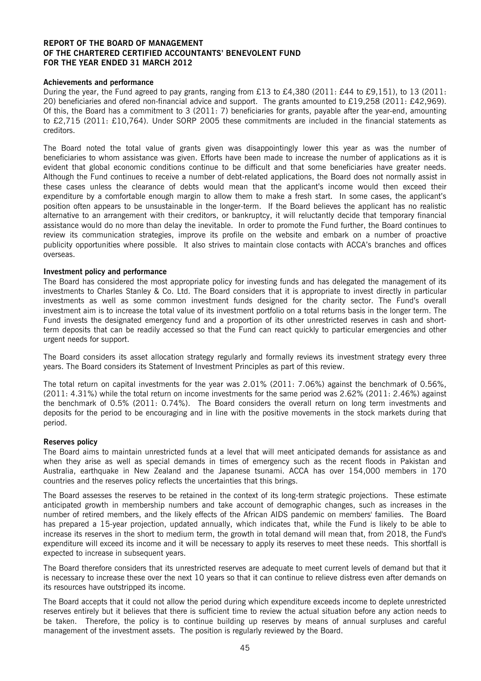#### **Achievements and performance**

During the year, the Fund agreed to pay grants, ranging from £13 to £4,380 (2011: £44 to £9,151), to 13 (2011: 20) beneficiaries and ofered non-financial advice and support. The grants amounted to £19,258 (2011: £42,969). Of this, the Board has a commitment to 3 (2011: 7) beneficiaries for grants, payable after the year-end, amounting to £2,715 (2011: £10,764). Under SORP 2005 these commitments are included in the financial statements as creditors.

The Board noted the total value of grants given was disappointingly lower this year as was the number of beneficiaries to whom assistance was given. Efforts have been made to increase the number of applications as it is evident that global economic conditions continue to be difficult and that some beneficiaries have greater needs. Although the Fund continues to receive a number of debt-related applications, the Board does not normally assist in these cases unless the clearance of debts would mean that the applicant's income would then exceed their expenditure by a comfortable enough margin to allow them to make a fresh start. In some cases, the applicant's position often appears to be unsustainable in the longer-term. If the Board believes the applicant has no realistic alternative to an arrangement with their creditors, or bankruptcy, it will reluctantly decide that temporary financial assistance would do no more than delay the inevitable. In order to promote the Fund further, the Board continues to review its communication strategies, improve its profile on the website and embark on a number of proactive publicity opportunities where possible. It also strives to maintain close contacts with ACCA's branches and offices overseas.

#### **Investment policy and performance**

The Board has considered the most appropriate policy for investing funds and has delegated the management of its investments to Charles Stanley & Co. Ltd. The Board considers that it is appropriate to invest directly in particular investments as well as some common investment funds designed for the charity sector. The Fund's overall investment aim is to increase the total value of its investment portfolio on a total returns basis in the longer term. The Fund invests the designated emergency fund and a proportion of its other unrestricted reserves in cash and shortterm deposits that can be readily accessed so that the Fund can react quickly to particular emergencies and other urgent needs for support.

The Board considers its asset allocation strategy regularly and formally reviews its investment strategy every three years. The Board considers its Statement of Investment Principles as part of this review.

The total return on capital investments for the year was 2.01% (2011: 7.06%) against the benchmark of 0.56%, (2011: 4.31%) while the total return on income investments for the same period was 2.62% (2011: 2.46%) against the benchmark of 0.5% (2011: 0.74%). The Board considers the overall return on long term investments and deposits for the period to be encouraging and in line with the positive movements in the stock markets during that period.

#### **Reserves policy**

The Board aims to maintain unrestricted funds at a level that will meet anticipated demands for assistance as and when they arise as well as special demands in times of emergency such as the recent floods in Pakistan and Australia, earthquake in New Zealand and the Japanese tsunami. ACCA has over 154,000 members in 170 countries and the reserves policy reflects the uncertainties that this brings.

The Board assesses the reserves to be retained in the context of its long-term strategic projections. These estimate anticipated growth in membership numbers and take account of demographic changes, such as increases in the number of retired members, and the likely effects of the African AIDS pandemic on members' families. The Board has prepared a 15-year projection, updated annually, which indicates that, while the Fund is likely to be able to increase its reserves in the short to medium term, the growth in total demand will mean that, from 2018, the Fund's expenditure will exceed its income and it will be necessary to apply its reserves to meet these needs. This shortfall is expected to increase in subsequent years.

The Board therefore considers that its unrestricted reserves are adequate to meet current levels of demand but that it is necessary to increase these over the next 10 years so that it can continue to relieve distress even after demands on its resources have outstripped its income.

The Board accepts that it could not allow the period during which expenditure exceeds income to deplete unrestricted reserves entirely but it believes that there is sufficient time to review the actual situation before any action needs to be taken. Therefore, the policy is to continue building up reserves by means of annual surpluses and careful management of the investment assets. The position is regularly reviewed by the Board.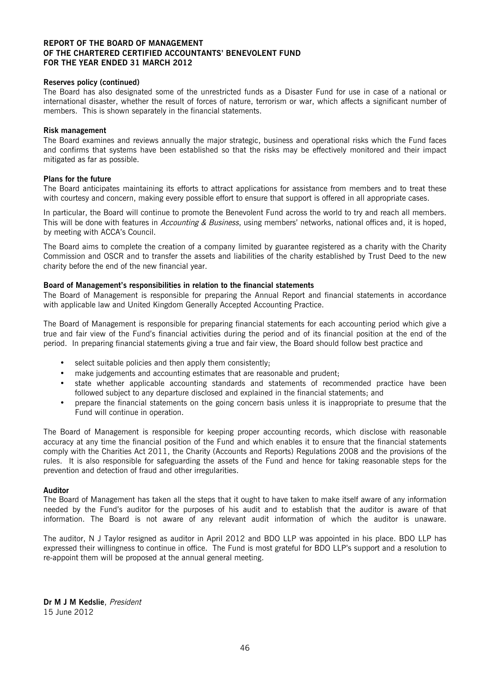#### **Reserves policy (continued)**

The Board has also designated some of the unrestricted funds as a Disaster Fund for use in case of a national or international disaster, whether the result of forces of nature, terrorism or war, which affects a significant number of members. This is shown separately in the financial statements.

#### **Risk management**

The Board examines and reviews annually the major strategic, business and operational risks which the Fund faces and confirms that systems have been established so that the risks may be effectively monitored and their impact mitigated as far as possible.

#### **Plans for the future**

The Board anticipates maintaining its efforts to attract applications for assistance from members and to treat these with courtesy and concern, making every possible effort to ensure that support is offered in all appropriate cases.

In particular, the Board will continue to promote the Benevolent Fund across the world to try and reach all members. This will be done with features in Accounting & Business, using members' networks, national offices and, it is hoped, by meeting with ACCA's Council.

The Board aims to complete the creation of a company limited by guarantee registered as a charity with the Charity Commission and OSCR and to transfer the assets and liabilities of the charity established by Trust Deed to the new charity before the end of the new financial year.

#### **Board of Management's responsibilities in relation to the financial statements**

The Board of Management is responsible for preparing the Annual Report and financial statements in accordance with applicable law and United Kingdom Generally Accepted Accounting Practice.

The Board of Management is responsible for preparing financial statements for each accounting period which give a true and fair view of the Fund's financial activities during the period and of its financial position at the end of the period. In preparing financial statements giving a true and fair view, the Board should follow best practice and

- select suitable policies and then apply them consistently:
- make judgements and accounting estimates that are reasonable and prudent;
- state whether applicable accounting standards and statements of recommended practice have been followed subject to any departure disclosed and explained in the financial statements; and
- prepare the financial statements on the going concern basis unless it is inappropriate to presume that the Fund will continue in operation.

The Board of Management is responsible for keeping proper accounting records, which disclose with reasonable accuracy at any time the financial position of the Fund and which enables it to ensure that the financial statements comply with the Charities Act 2011, the Charity (Accounts and Reports) Regulations 2008 and the provisions of the rules. It is also responsible for safeguarding the assets of the Fund and hence for taking reasonable steps for the prevention and detection of fraud and other irregularities.

#### **Auditor**

The Board of Management has taken all the steps that it ought to have taken to make itself aware of any information needed by the Fund's auditor for the purposes of his audit and to establish that the auditor is aware of that information. The Board is not aware of any relevant audit information of which the auditor is unaware.

The auditor, N J Taylor resigned as auditor in April 2012 and BDO LLP was appointed in his place. BDO LLP has expressed their willingness to continue in office. The Fund is most grateful for BDO LLP's support and a resolution to re-appoint them will be proposed at the annual general meeting.

**Dr M J M Kedslie**, President 15 June 2012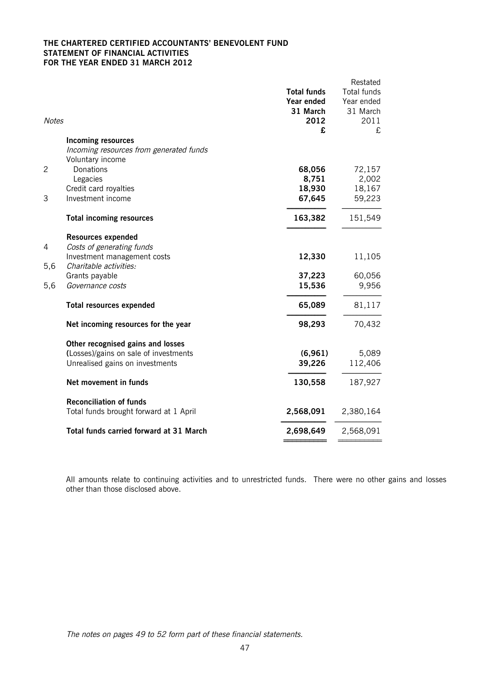#### **THE CHARTERED CERTIFIED ACCOUNTANTS' BENEVOLENT FUND STATEMENT OF FINANCIAL ACTIVITIES FOR THE YEAR ENDED 31 MARCH 2012**

| <b>Notes</b> | <b>Incoming resources</b>               | <b>Total funds</b><br>Year ended<br>31 March<br>2012<br>£ | Restated<br>Total funds<br>Year ended<br>31 March<br>2011<br>£ |
|--------------|-----------------------------------------|-----------------------------------------------------------|----------------------------------------------------------------|
|              | Incoming resources from generated funds |                                                           |                                                                |
|              | Voluntary income                        |                                                           |                                                                |
| 2            | Donations                               | 68,056                                                    | 72,157                                                         |
|              | Legacies                                | 8,751                                                     | 2,002                                                          |
|              | Credit card royalties                   | 18,930                                                    | 18,167                                                         |
| 3            | Investment income                       | 67,645                                                    | 59,223                                                         |
|              | <b>Total incoming resources</b>         | 163,382                                                   | 151,549                                                        |
|              | <b>Resources expended</b>               |                                                           |                                                                |
| 4            | Costs of generating funds               |                                                           |                                                                |
|              | Investment management costs             | 12,330                                                    | 11,105                                                         |
| 5,6          | Charitable activities:                  |                                                           |                                                                |
|              | Grants payable                          | 37,223                                                    | 60,056                                                         |
| 5,6          | Governance costs                        | 15,536                                                    | 9,956                                                          |
|              | <b>Total resources expended</b>         | 65,089                                                    | 81,117                                                         |
|              | Net incoming resources for the year     | 98,293                                                    | 70,432                                                         |
|              | Other recognised gains and losses       |                                                           |                                                                |
|              | (Losses)/gains on sale of investments   | (6, 961)                                                  | 5,089                                                          |
|              | Unrealised gains on investments         | 39,226                                                    | 112,406                                                        |
|              | Net movement in funds                   | 130,558                                                   | 187,927                                                        |
|              | <b>Reconciliation of funds</b>          |                                                           |                                                                |
|              | Total funds brought forward at 1 April  | 2,568,091                                                 | 2,380,164                                                      |
|              | Total funds carried forward at 31 March | 2,698,649                                                 | 2,568,091                                                      |
|              |                                         |                                                           |                                                                |

All amounts relate to continuing activities and to unrestricted funds. There were no other gains and losses other than those disclosed above.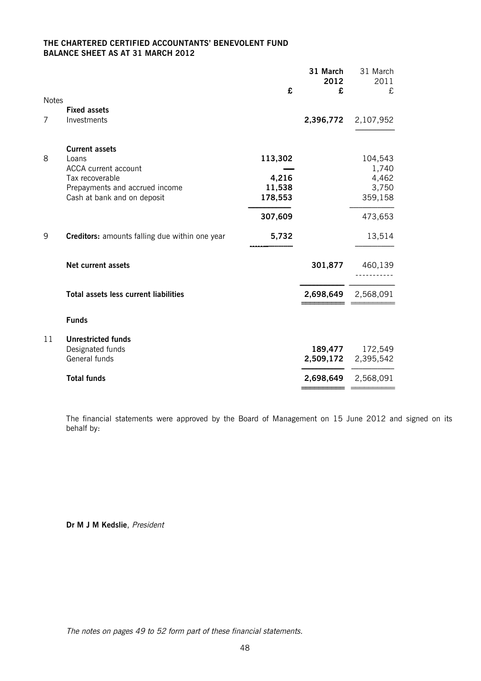### **THE CHARTERED CERTIFIED ACCOUNTANTS' BENEVOLENT FUND BALANCE SHEET AS AT 31 MARCH 2012**

|              |                                                               |                   | 31 March<br>2012 | 31 March<br>2011 |
|--------------|---------------------------------------------------------------|-------------------|------------------|------------------|
|              |                                                               | £                 | £                | £                |
| <b>Notes</b> | <b>Fixed assets</b>                                           |                   |                  |                  |
| 7            | Investments                                                   |                   | 2,396,772        | 2,107,952        |
|              | <b>Current assets</b>                                         |                   |                  |                  |
| 8            | Loans                                                         | 113,302           |                  | 104,543          |
|              | ACCA current account                                          |                   |                  | 1,740            |
|              | Tax recoverable                                               | 4,216             |                  | 4,462            |
|              | Prepayments and accrued income<br>Cash at bank and on deposit | 11,538<br>178,553 |                  | 3,750<br>359,158 |
|              |                                                               |                   |                  |                  |
|              |                                                               | 307,609           |                  | 473,653          |
| 9            | Creditors: amounts falling due within one year                | 5,732             |                  | 13,514           |
|              | <b>Net current assets</b>                                     |                   | 301,877          | 460,139          |
|              | <b>Total assets less current liabilities</b>                  |                   | 2,698,649        | 2,568,091        |
|              |                                                               |                   |                  |                  |
|              | <b>Funds</b>                                                  |                   |                  |                  |
| 11           | <b>Unrestricted funds</b>                                     |                   |                  |                  |
|              | Designated funds                                              |                   | 189,477          | 172,549          |
|              | General funds                                                 |                   | 2,509,172        | 2,395,542        |
|              | <b>Total funds</b>                                            |                   | 2,698,649        | 2,568,091        |
|              |                                                               |                   |                  |                  |

The financial statements were approved by the Board of Management on 15 June 2012 and signed on its behalf by:

**Dr M J M Kedslie**, President

The notes on pages 49 to 52 form part of these financial statements.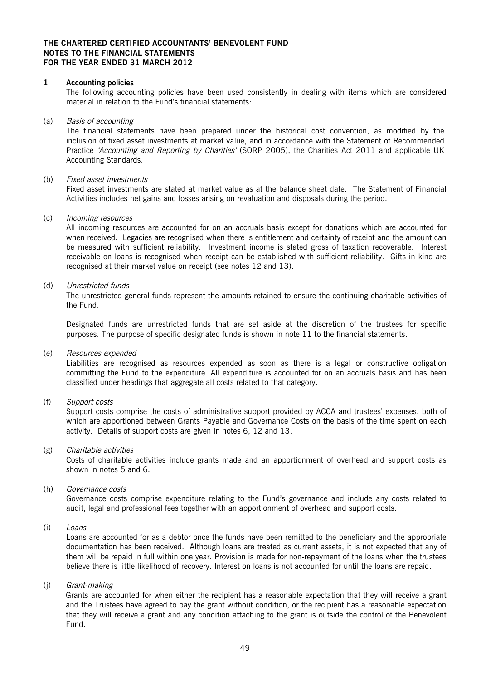#### **THE CHARTERED CERTIFIED ACCOUNTANTS' BENEVOLENT FUND NOTES TO THE FINANCIAL STATEMENTS FOR THE YEAR ENDED 31 MARCH 2012**

#### **1 Accounting policies**

The following accounting policies have been used consistently in dealing with items which are considered material in relation to the Fund's financial statements:

#### (a) Basis of accounting

The financial statements have been prepared under the historical cost convention, as modified by the inclusion of fixed asset investments at market value, and in accordance with the Statement of Recommended Practice 'Accounting and Reporting by Charities' (SORP 2005), the Charities Act 2011 and applicable UK Accounting Standards.

#### (b) Fixed asset investments

Fixed asset investments are stated at market value as at the balance sheet date. The Statement of Financial Activities includes net gains and losses arising on revaluation and disposals during the period.

#### (c) Incoming resources

All incoming resources are accounted for on an accruals basis except for donations which are accounted for when received. Legacies are recognised when there is entitlement and certainty of receipt and the amount can be measured with sufficient reliability. Investment income is stated gross of taxation recoverable. Interest receivable on loans is recognised when receipt can be established with sufficient reliability. Gifts in kind are recognised at their market value on receipt (see notes 12 and 13).

#### (d) Unrestricted funds

The unrestricted general funds represent the amounts retained to ensure the continuing charitable activities of the Fund.

Designated funds are unrestricted funds that are set aside at the discretion of the trustees for specific purposes. The purpose of specific designated funds is shown in note 11 to the financial statements.

#### (e) Resources expended

Liabilities are recognised as resources expended as soon as there is a legal or constructive obligation committing the Fund to the expenditure. All expenditure is accounted for on an accruals basis and has been classified under headings that aggregate all costs related to that category.

#### (f) Support costs

Support costs comprise the costs of administrative support provided by ACCA and trustees' expenses, both of which are apportioned between Grants Payable and Governance Costs on the basis of the time spent on each activity. Details of support costs are given in notes 6, 12 and 13.

#### (g) Charitable activities

Costs of charitable activities include grants made and an apportionment of overhead and support costs as shown in notes 5 and 6.

#### (h) Governance costs

Governance costs comprise expenditure relating to the Fund's governance and include any costs related to audit, legal and professional fees together with an apportionment of overhead and support costs.

#### (i) Loans

Loans are accounted for as a debtor once the funds have been remitted to the beneficiary and the appropriate documentation has been received. Although loans are treated as current assets, it is not expected that any of them will be repaid in full within one year. Provision is made for non-repayment of the loans when the trustees believe there is little likelihood of recovery. Interest on loans is not accounted for until the loans are repaid.

#### (j) Grant-making

Grants are accounted for when either the recipient has a reasonable expectation that they will receive a grant and the Trustees have agreed to pay the grant without condition, or the recipient has a reasonable expectation that they will receive a grant and any condition attaching to the grant is outside the control of the Benevolent Fund.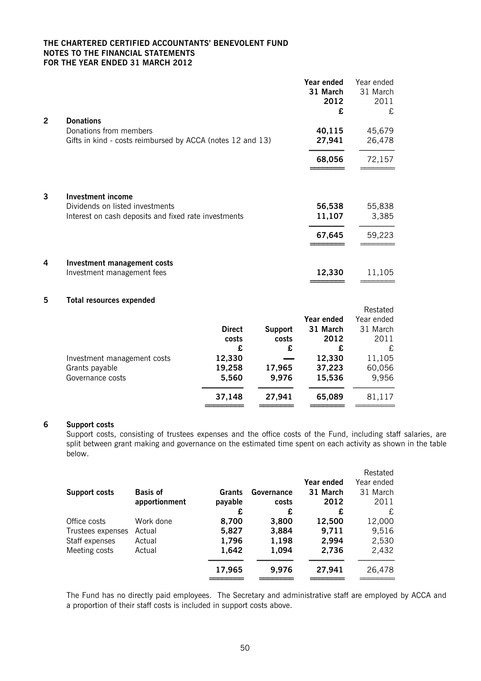#### **THE CHARTERED CERTIFIED ACCOUNTANTS' BENEVOLENT FUND NOTES TO THE FINANCIAL STATEMENTS FOR THE YEAR ENDED 31 MARCH 2012**

|   |                                                            | Year ended<br>31 March<br>2012<br>£ | Year ended<br>31 March<br>2011<br>£ |
|---|------------------------------------------------------------|-------------------------------------|-------------------------------------|
| 2 | <b>Donations</b>                                           |                                     |                                     |
|   | Donations from members                                     | 40,115                              | 45,679                              |
|   | Gifts in kind - costs reimbursed by ACCA (notes 12 and 13) | 27,941                              | 26,478                              |
|   |                                                            | 68,056                              | 72,157                              |
| 3 | <b>Investment income</b>                                   |                                     |                                     |
|   | Dividends on listed investments                            | 56,538                              | 55,838                              |
|   | Interest on cash deposits and fixed rate investments       | 11,107                              | 3,385                               |
|   |                                                            | 67,645                              | 59,223                              |
| 4 | Investment management costs                                |                                     |                                     |
|   | Investment management fees                                 | 12,330                              | 11,105                              |

**5 Total resources expended**

|                             |               |                |            | Residieu   |
|-----------------------------|---------------|----------------|------------|------------|
|                             |               |                | Year ended | Year ended |
|                             | <b>Direct</b> | <b>Support</b> | 31 March   | 31 March   |
|                             | costs         | costs          | 2012       | 2011       |
|                             | £             | £              | £          | £          |
| Investment management costs | 12,330        |                | 12,330     | 11,105     |
| Grants payable              | 19,258        | 17,965         | 37,223     | 60,056     |
| Governance costs            | 5,560         | 9,976          | 15,536     | 9,956      |
|                             | 37,148        | 27,941         | 65,089     | 81,117     |
|                             |               |                |            |            |

#### **6 Support costs**

Support costs, consisting of trustees expenses and the office costs of the Fund, including staff salaries, are split between grant making and governance on the estimated time spent on each activity as shown in the table below.

**========** ========

Restated

|                 |         |            |            | Restated   |
|-----------------|---------|------------|------------|------------|
|                 |         |            | Year ended | Year ended |
| <b>Basis of</b> | Grants  | Governance | 31 March   | 31 March   |
| apportionment   | payable | costs      | 2012       | 2011       |
|                 | £       | £          | £          | £          |
| Work done       | 8,700   | 3,800      | 12,500     | 12,000     |
| Actual          | 5,827   | 3,884      | 9,711      | 9,516      |
| Actual          | 1,796   | 1,198      | 2,994      | 2,530      |
| Actual          | 1,642   | 1,094      | 2,736      | 2,432      |
|                 | 17,965  | 9,976      | 27,941     | 26,478     |
|                 |         |            |            |            |

The Fund has no directly paid employees. The Secretary and administrative staff are employed by ACCA and a proportion of their staff costs is included in support costs above.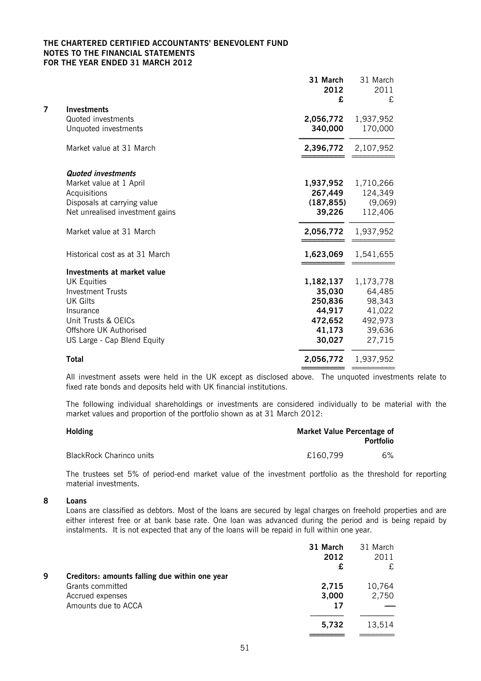#### **THE CHARTERED CERTIFIED ACCOUNTANTS' BENEVOLENT FUND NOTES TO THE FINANCIAL STATEMENTS FOR THE YEAR ENDED 31 MARCH 2012**

|   |                                 | 31 March<br>2012<br>£ | 31 March<br>2011<br>£ |
|---|---------------------------------|-----------------------|-----------------------|
| 7 | <b>Investments</b>              |                       |                       |
|   | Quoted investments              | 2,056,772             | 1,937,952             |
|   | Unquoted investments            | 340,000               | 170,000               |
|   | Market value at 31 March        | 2,396,772             | 2,107,952             |
|   | <b>Quoted investments</b>       |                       |                       |
|   | Market value at 1 April         | 1,937,952             | 1,710,266             |
|   | Acquisitions                    | 267,449               | 124,349               |
|   | Disposals at carrying value     | (187, 855)            | (9,069)               |
|   | Net unrealised investment gains | 39,226                | 112,406               |
|   | Market value at 31 March        | 2,056,772             | 1,937,952             |
|   | Historical cost as at 31 March  | 1,623,069             | 1,541,655             |
|   | Investments at market value     |                       |                       |
|   | <b>UK Equities</b>              | 1,182,137             | 1,173,778             |
|   | <b>Investment Trusts</b>        | 35,030                | 64,485                |
|   | <b>UK Gilts</b>                 | 250,836               | 98,343                |
|   | Insurance                       | 44,917                | 41,022                |
|   | Unit Trusts & OEICs             | 472,652               | 492,973               |
|   | Offshore UK Authorised          | 41,173                | 39,636                |
|   | US Large - Cap Blend Equity     | 30,027                | 27,715                |
|   | <b>Total</b>                    | 2,056,772             | 1,937,952             |
|   |                                 |                       |                       |

All investment assets were held in the UK except as disclosed above. The unquoted investments relate to fixed rate bonds and deposits held with UK financial institutions.

The following individual shareholdings or investments are considered individually to be material with the market values and proportion of the portfolio shown as at 31 March 2012:

| <b>Holding</b>                  |          | Market Value Percentage of<br><b>Portfolio</b> |  |  |
|---------------------------------|----------|------------------------------------------------|--|--|
| <b>BlackRock Charinco units</b> | £160,799 | 6%                                             |  |  |

The trustees set 5% of period-end market value of the investment portfolio as the threshold for reporting material investments.

#### **8 Loans**

Loans are classified as debtors. Most of the loans are secured by legal charges on freehold properties and are either interest free or at bank base rate. One loan was advanced during the period and is being repaid by instalments. It is not expected that any of the loans will be repaid in full within one year.

|   |                                                                                        | 31 March<br>2012    | 31 March<br>2011     |
|---|----------------------------------------------------------------------------------------|---------------------|----------------------|
| 9 | Creditors: amounts falling due within one year<br>Grants committed<br>Accrued expenses | £<br>2,715<br>3,000 | £<br>10,764<br>2,750 |
|   | Amounts due to ACCA                                                                    | 17<br>5,732         | 13,514               |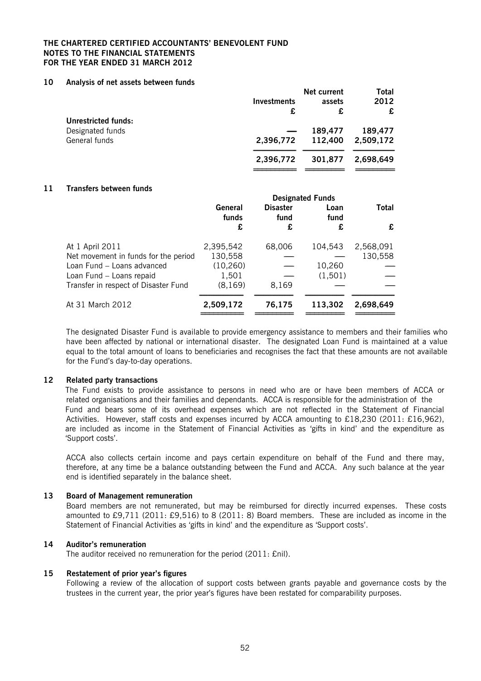#### **THE CHARTERED CERTIFIED ACCOUNTANTS' BENEVOLENT FUND NOTES TO THE FINANCIAL STATEMENTS FOR THE YEAR ENDED 31 MARCH 2012**

#### **10 Analysis of net assets between funds**

|                            |             | Net current | Total     |
|----------------------------|-------------|-------------|-----------|
|                            | Investments | assets      | 2012      |
|                            | £           | £           | £         |
| <b>Unrestricted funds:</b> |             |             |           |
| Designated funds           |             | 189,477     | 189,477   |
| General funds              | 2,396,772   | 112,400     | 2,509,172 |
|                            | 2,396,772   | 301,877     | 2,698,649 |
|                            |             |             |           |

#### **11 Transfers between funds**

|                                      | <b>Designated Funds</b> |                         |              |           |
|--------------------------------------|-------------------------|-------------------------|--------------|-----------|
|                                      | General<br>funds        | <b>Disaster</b><br>fund | Loan<br>fund | Total     |
|                                      | £                       | £                       | £            | £         |
| At 1 April 2011                      | 2,395,542               | 68,006                  | 104,543      | 2,568,091 |
| Net movement in funds for the period | 130,558                 |                         |              | 130,558   |
| Loan Fund - Loans advanced           | (10, 260)               |                         | 10,260       |           |
| Loan Fund - Loans repaid             | 1,501                   |                         | (1, 501)     |           |
| Transfer in respect of Disaster Fund | (8, 169)                | 8,169                   |              |           |
| At 31 March 2012                     | 2,509,172               | 76,175                  | 113,302      | 2,698,649 |

The designated Disaster Fund is available to provide emergency assistance to members and their families who have been affected by national or international disaster. The designated Loan Fund is maintained at a value equal to the total amount of loans to beneficiaries and recognises the fact that these amounts are not available for the Fund's day-to-day operations.

#### **12 Related party transactions**

The Fund exists to provide assistance to persons in need who are or have been members of ACCA or related organisations and their families and dependants. ACCA is responsible for the administration of the Fund and bears some of its overhead expenses which are not reflected in the Statement of Financial Activities. However, staff costs and expenses incurred by ACCA amounting to £18,230 (2011: £16,962), are included as income in the Statement of Financial Activities as 'gifts in kind' and the expenditure as 'Support costs'.

ACCA also collects certain income and pays certain expenditure on behalf of the Fund and there may, therefore, at any time be a balance outstanding between the Fund and ACCA. Any such balance at the year end is identified separately in the balance sheet.

#### **13 Board of Management remuneration**

Board members are not remunerated, but may be reimbursed for directly incurred expenses. These costs amounted to £9,711 (2011: £9,516) to 8 (2011: 8) Board members. These are included as income in the Statement of Financial Activities as 'gifts in kind' and the expenditure as 'Support costs'.

#### **14 Auditor's remuneration**

The auditor received no remuneration for the period (2011: £nil).

#### **15 Restatement of prior year's figures**

Following a review of the allocation of support costs between grants payable and governance costs by the trustees in the current year, the prior year's figures have been restated for comparability purposes.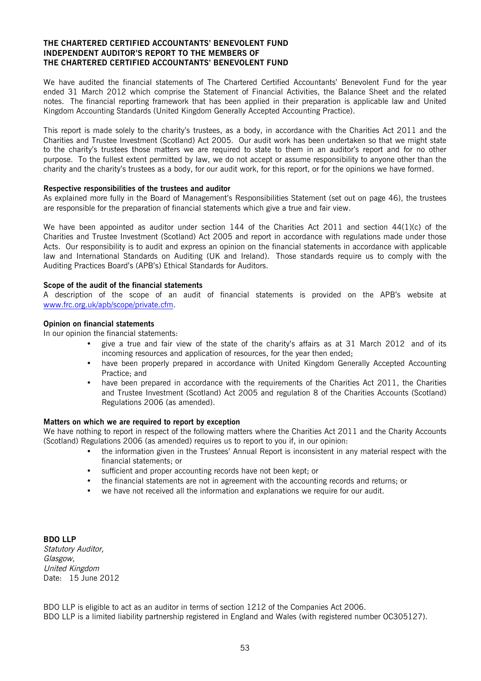#### **THE CHARTERED CERTIFIED ACCOUNTANTS' BENEVOLENT FUND INDEPENDENT AUDITOR'S REPORT TO THE MEMBERS OF THE CHARTERED CERTIFIED ACCOUNTANTS' BENEVOLENT FUND**

We have audited the financial statements of The Chartered Certified Accountants' Benevolent Fund for the year ended 31 March 2012 which comprise the Statement of Financial Activities, the Balance Sheet and the related notes. The financial reporting framework that has been applied in their preparation is applicable law and United Kingdom Accounting Standards (United Kingdom Generally Accepted Accounting Practice).

This report is made solely to the charity's trustees, as a body, in accordance with the Charities Act 2011 and the Charities and Trustee Investment (Scotland) Act 2005. Our audit work has been undertaken so that we might state to the charity's trustees those matters we are required to state to them in an auditor's report and for no other purpose. To the fullest extent permitted by law, we do not accept or assume responsibility to anyone other than the charity and the charity's trustees as a body, for our audit work, for this report, or for the opinions we have formed.

#### **Respective responsibilities of the trustees and auditor**

As explained more fully in the Board of Management's Responsibilities Statement (set out on page 46), the trustees are responsible for the preparation of financial statements which give a true and fair view.

We have been appointed as auditor under section 144 of the Charities Act 2011 and section 44(1)(c) of the Charities and Trustee Investment (Scotland) Act 2005 and report in accordance with regulations made under those Acts. Our responsibility is to audit and express an opinion on the financial statements in accordance with applicable law and International Standards on Auditing (UK and Ireland). Those standards require us to comply with the Auditing Practices Board's (APB's) Ethical Standards for Auditors.

#### **Scope of the audit of the financial statements**

A description of the scope of an audit of financial statements is provided on the APB's website at www.frc.org.uk/apb/scope/private.cfm.

#### **Opinion on financial statements**

In our opinion the financial statements:

- give a true and fair view of the state of the charity's affairs as at 31 March 2012 and of its incoming resources and application of resources, for the year then ended;
- have been properly prepared in accordance with United Kingdom Generally Accepted Accounting Practice; and
- have been prepared in accordance with the requirements of the Charities Act 2011, the Charities and Trustee Investment (Scotland) Act 2005 and regulation 8 of the Charities Accounts (Scotland) Regulations 2006 (as amended).

#### **Matters on which we are required to report by exception**

We have nothing to report in respect of the following matters where the Charities Act 2011 and the Charity Accounts (Scotland) Regulations 2006 (as amended) requires us to report to you if, in our opinion:

- the information given in the Trustees' Annual Report is inconsistent in any material respect with the financial statements; or
- sufficient and proper accounting records have not been kept; or
- the financial statements are not in agreement with the accounting records and returns; or
- we have not received all the information and explanations we require for our audit.

**BDO LLP** Statutory Auditor, Glasgow, United Kingdom Date: 15 June 2012

BDO LLP is eligible to act as an auditor in terms of section 1212 of the Companies Act 2006. BDO LLP is a limited liability partnership registered in England and Wales (with registered number OC305127).